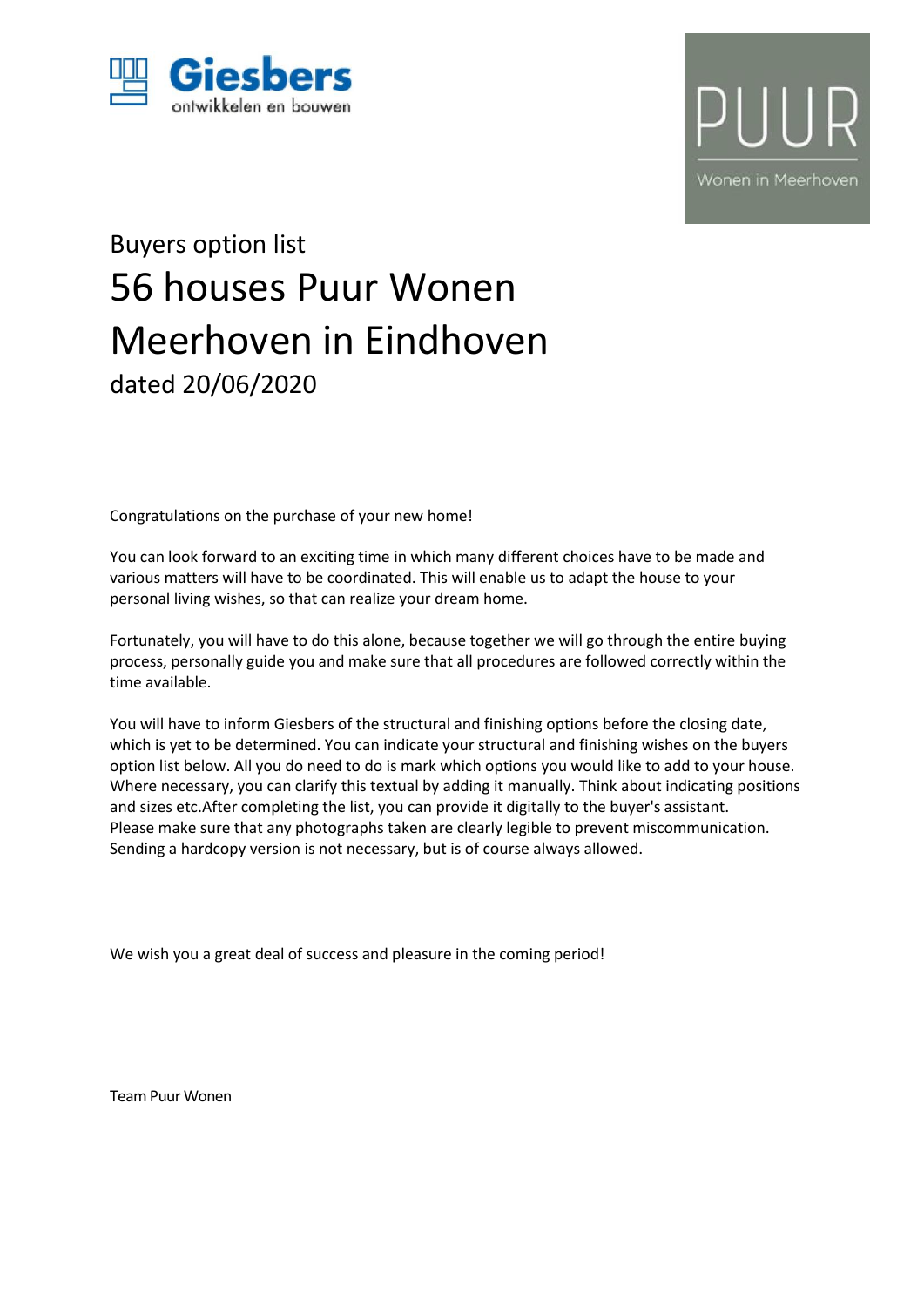



# Buyers option list 56 houses Puur Wonen Meerhoven in Eindhoven dated 20/06/2020

Congratulations on the purchase of your new home!

You can look forward to an exciting time in which many different choices have to be made and various matters will have to be coordinated. This will enable us to adapt the house to your personal living wishes, so that can realize your dream home.

Fortunately, you will have to do this alone, because together we will go through the entire buying process, personally guide you and make sure that all procedures are followed correctly within the time available.

You will have to inform Giesbers of the structural and finishing options before the closing date, which is yet to be determined. You can indicate your structural and finishing wishes on the buyers option list below. All you do need to do is mark which options you would like to add to your house. Where necessary, you can clarify this textual by adding it manually. Think about indicating positions and sizes etc.After completing the list, you can provide it digitally to the buyer's assistant. Please make sure that any photographs taken are clearly legible to prevent miscommunication. Sending a hardcopy version is not necessary, but is of course always allowed.

We wish you a great deal of success and pleasure in the coming period!

Team Puur Wonen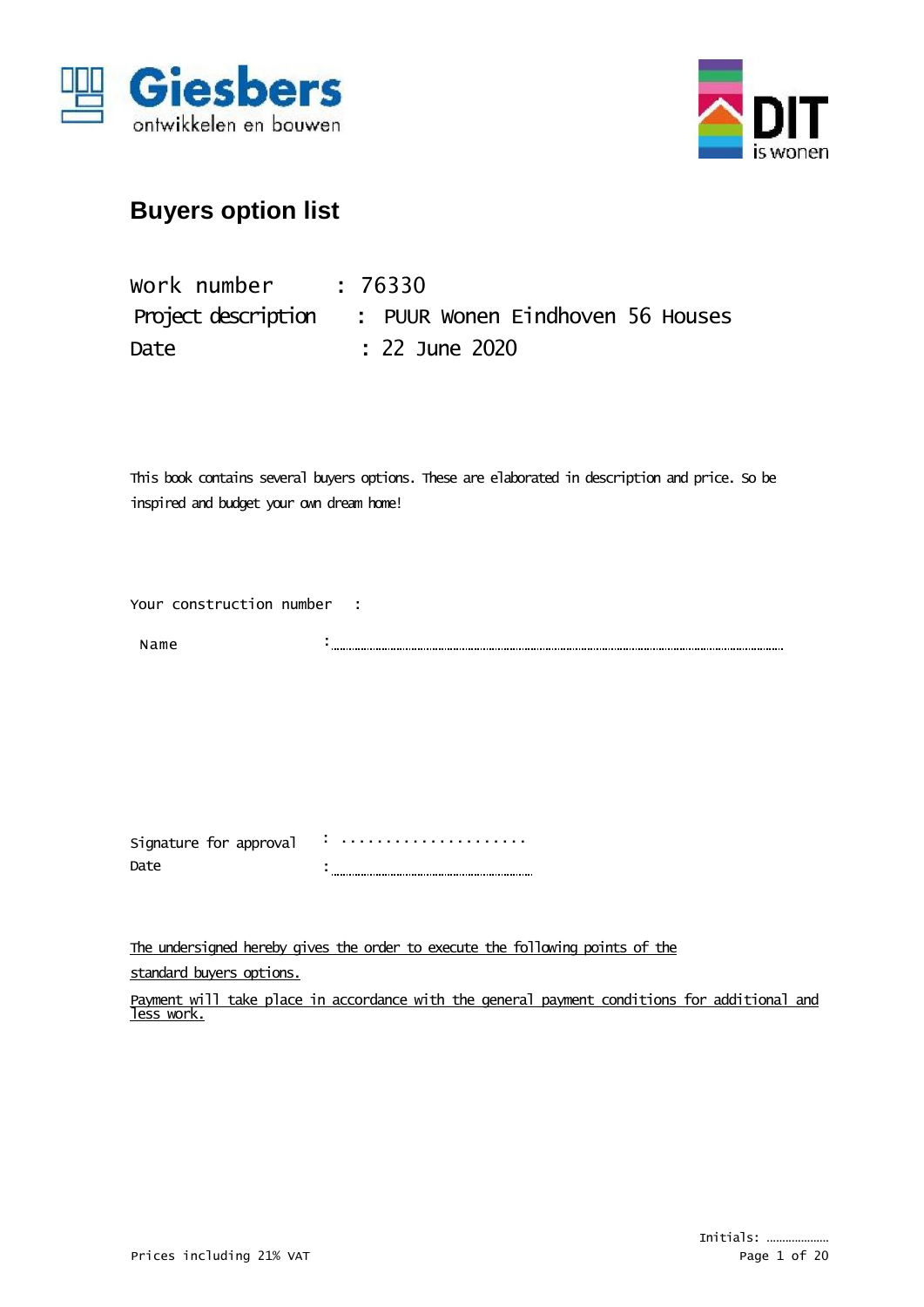



| work number | : 76330                                              |
|-------------|------------------------------------------------------|
|             | Project description : PUUR Wonen Eindhoven 56 Houses |
| Date        | $: 22$ June 2020                                     |

This book contains several buyers options. These are elaborated in description and price. So be inspired and budget your own dream home!

Your construction number :

Name :

Signature for approval Date : ..................... :

The undersigned hereby gives the order to execute the following points of the standard buyers options.

Payment will take place in accordance with the general payment conditions for additional and less work.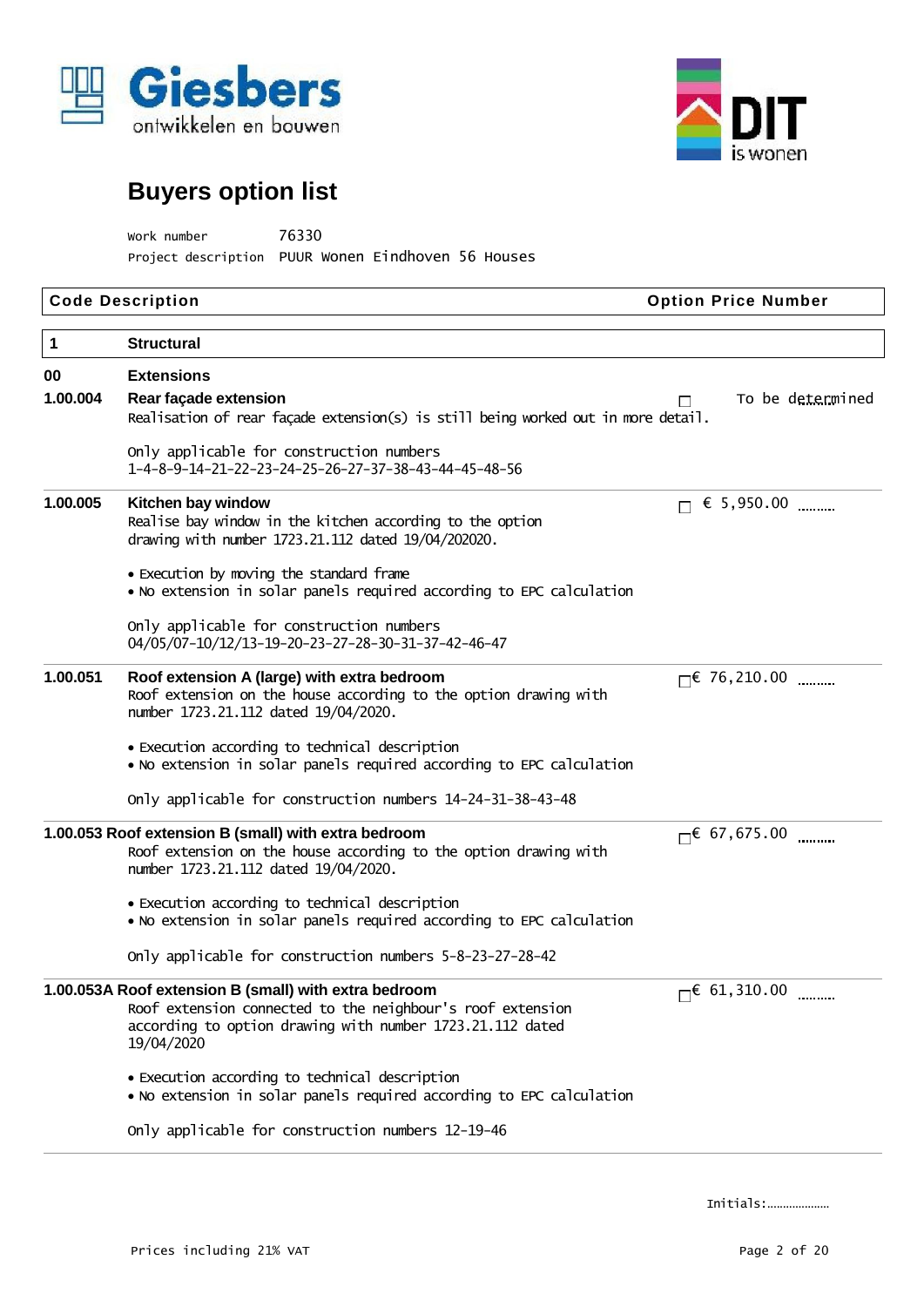



Work number 76330 Project description PUUR Wonen Eindhoven 56 Houses

|                | <b>Code Description</b>                                                                                                                                                                        | <b>Option Price Number</b> |
|----------------|------------------------------------------------------------------------------------------------------------------------------------------------------------------------------------------------|----------------------------|
| $\mathbf{1}$   | <b>Structural</b>                                                                                                                                                                              |                            |
| 00<br>1.00.004 | <b>Extensions</b><br>Rear façade extension<br>Realisation of rear façade extension(s) is still being worked out in more detail.                                                                | To be determined<br>H      |
|                | Only applicable for construction numbers<br>1-4-8-9-14-21-22-23-24-25-26-27-37-38-43-44-45-48-56                                                                                               |                            |
| 1.00.005       | Kitchen bay window<br>Realise bay window in the kitchen according to the option<br>drawing with number 1723.21.112 dated 19/04/202020.                                                         | € 5,950.00                 |
|                | • Execution by moving the standard frame<br>. No extension in solar panels required according to EPC calculation                                                                               |                            |
|                | Only applicable for construction numbers<br>04/05/07-10/12/13-19-20-23-27-28-30-31-37-42-46-47                                                                                                 |                            |
| 1.00.051       | Roof extension A (large) with extra bedroom<br>Roof extension on the house according to the option drawing with<br>number 1723.21.112 dated 19/04/2020.                                        | $\Box$ 76, 210.00          |
|                | • Execution according to technical description<br>• No extension in solar panels required according to EPC calculation                                                                         |                            |
|                | Only applicable for construction numbers 14-24-31-38-43-48                                                                                                                                     |                            |
|                | 1.00.053 Roof extension B (small) with extra bedroom<br>Roof extension on the house according to the option drawing with<br>number 1723.21.112 dated 19/04/2020.                               | $\Box$ 67,675.00           |
|                | • Execution according to technical description<br>. No extension in solar panels required according to EPC calculation                                                                         |                            |
|                | Only applicable for construction numbers 5-8-23-27-28-42                                                                                                                                       |                            |
|                | 1.00.053A Roof extension B (small) with extra bedroom<br>Roof extension connected to the neighbour's roof extension<br>according to option drawing with number 1723.21.112 dated<br>19/04/2020 | $\Box$ 61, 310.00          |
|                | • Execution according to technical description<br>. No extension in solar panels required according to EPC calculation                                                                         |                            |
|                | Only applicable for construction numbers 12-19-46                                                                                                                                              |                            |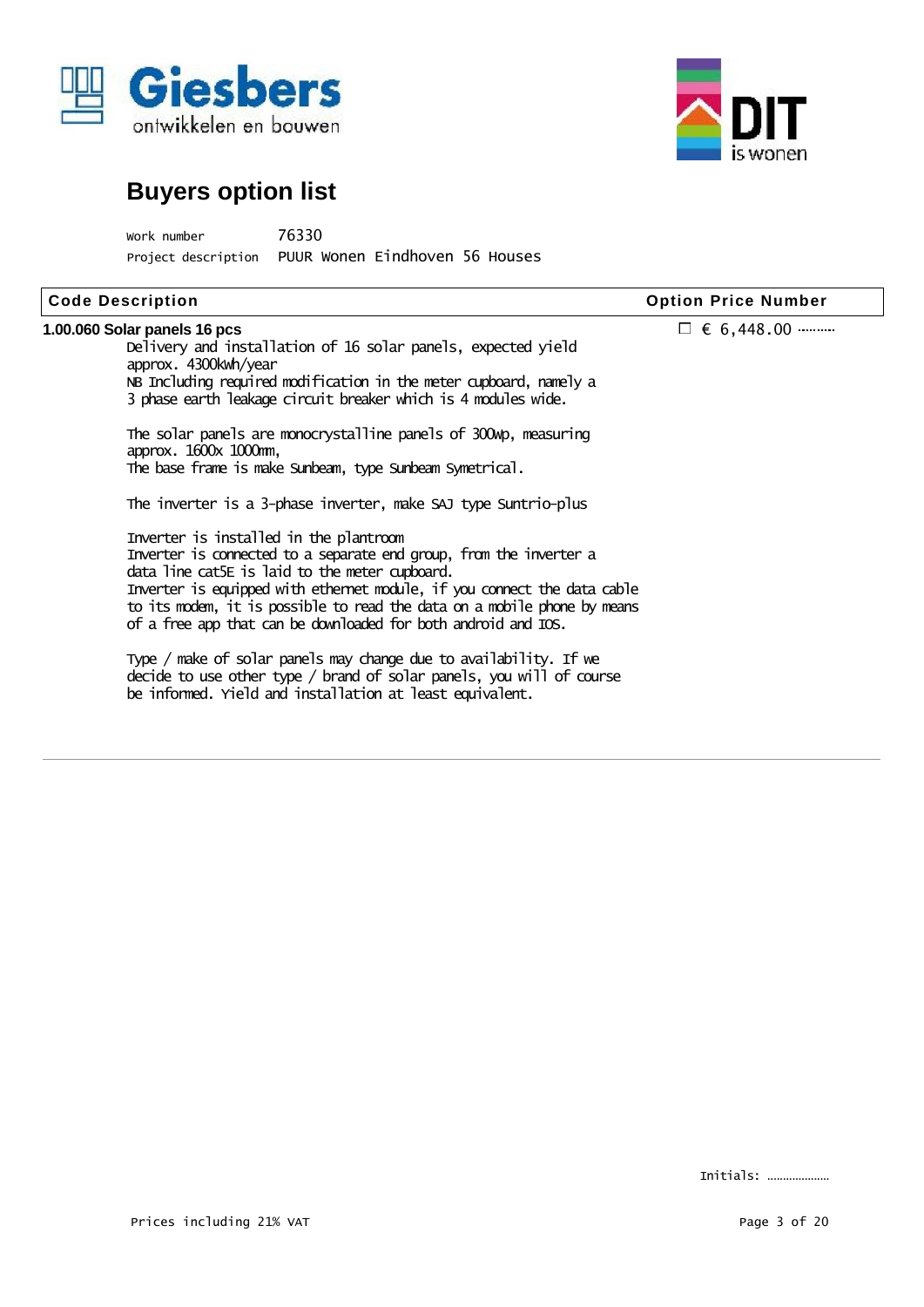



Work number 76330 Project description PUUR Wonen Eindhoven 56 Houses

| <b>Code Description</b>                                                                                                                                                                                                                                                                                                                                                                  | <b>Option Price Number</b> |
|------------------------------------------------------------------------------------------------------------------------------------------------------------------------------------------------------------------------------------------------------------------------------------------------------------------------------------------------------------------------------------------|----------------------------|
| 1.00.060 Solar panels 16 pcs<br>Delivery and installation of 16 solar panels, expected yield<br>approx. 4300kwh/year<br>NB Including required modification in the meter cupboard, namely a<br>3 phase earth leakage circuit breaker which is 4 modules wide.                                                                                                                             | $\Box \in 6,448.00$        |
| The solar panels are monocrystalline panels of 300 kp, measuring<br>approx. 1600x 1000mm,<br>The base frame is make sunbeam, type sunbeam symetrical.<br>The inverter is a 3-phase inverter, make SAJ type Suntrio-plus                                                                                                                                                                  |                            |
| Inverter is installed in the plantroom<br>Inverter is connected to a separate end group, from the inverter a<br>data line cat5E is laid to the meter cupboard.<br>Inverter is equipped with ethernet module, if you connect the data cable<br>to its modem, it is possible to read the data on a mobile phone by means<br>of a free app that can be downloaded for both android and IOS. |                            |
| Type / make of solar panels may change due to availability. If we<br>decide to use other type / brand of solar panels, you will of course<br>be informed. Yield and installation at least equivalent.                                                                                                                                                                                    |                            |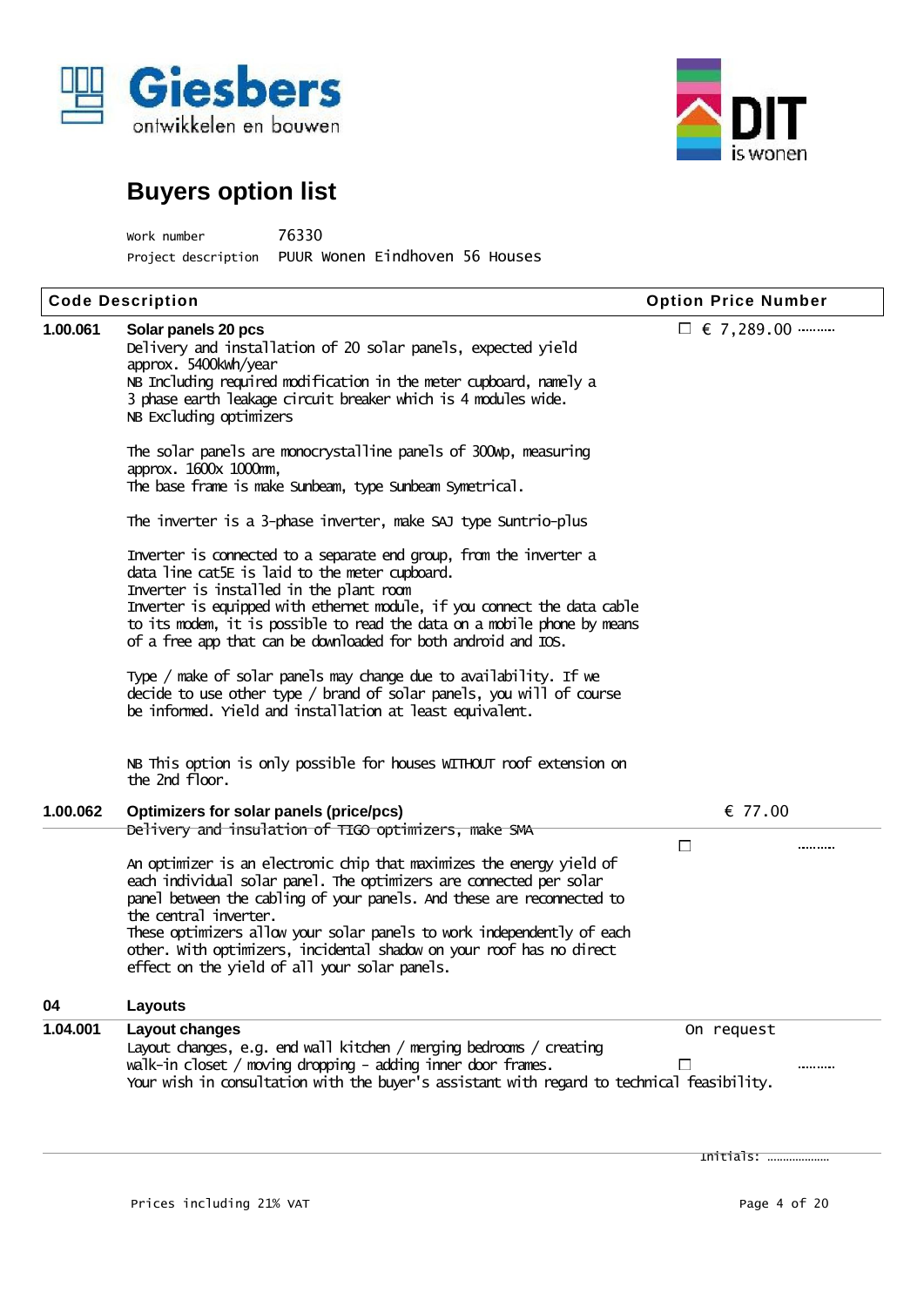



| Work number         | 76330                          |
|---------------------|--------------------------------|
| Project description | PUUR Wonen Eindhoven 56 Houses |

| <b>Code Description</b> |                                                                                                                                                                                                                                                                                                                                                                                                                                                                                                                                                                                                                                                                                                                                                                                                                                                                                                                                                                                                                                                                                                                                                                                                           | <b>Option Price Number</b>     |  |  |
|-------------------------|-----------------------------------------------------------------------------------------------------------------------------------------------------------------------------------------------------------------------------------------------------------------------------------------------------------------------------------------------------------------------------------------------------------------------------------------------------------------------------------------------------------------------------------------------------------------------------------------------------------------------------------------------------------------------------------------------------------------------------------------------------------------------------------------------------------------------------------------------------------------------------------------------------------------------------------------------------------------------------------------------------------------------------------------------------------------------------------------------------------------------------------------------------------------------------------------------------------|--------------------------------|--|--|
| 1.00.061                | Solar panels 20 pcs<br>Delivery and installation of 20 solar panels, expected yield<br>approx. 5400kwh/year<br>NB Including required modification in the meter cupboard, namely a<br>3 phase earth leakage circuit breaker which is 4 modules wide.<br>NB Excluding optimizers<br>The solar panels are monocrystalline panels of 300 mp, measuring<br>approx. 1600x 1000mm,<br>The base frame is make Sunbeam, type Sunbeam Symetrical.<br>The inverter is a 3-phase inverter, make SAJ type Suntrio-plus<br>Inverter is connected to a separate end group, from the inverter a<br>data line cat5E is laid to the meter cupboard.<br>Inverter is installed in the plant room<br>Inverter is equipped with ethernet module, if you connect the data cable<br>to its modem, it is possible to read the data on a mobile phone by means<br>of a free app that can be downloaded for both android and IOS.<br>Type / make of solar panels may change due to availability. If we<br>decide to use other type / brand of solar panels, you will of course<br>be informed. Yield and installation at least equivalent.<br>NB This option is only possible for houses WITHOUT roof extension on<br>the 2nd floor. | □ $\epsilon$ 7,289.00          |  |  |
| 1.00.062                | Optimizers for solar panels (price/pcs)                                                                                                                                                                                                                                                                                                                                                                                                                                                                                                                                                                                                                                                                                                                                                                                                                                                                                                                                                                                                                                                                                                                                                                   | € 77.00                        |  |  |
|                         | Delivery and insulation of TIGO optimizers, make SMA<br>An optimizer is an electronic chip that maximizes the energy yield of<br>each individual solar panel. The optimizers are connected per solar<br>panel between the cabling of your panels. And these are reconnected to<br>the central inverter.<br>These optimizers allow your solar panels to work independently of each<br>other. With optimizers, incidental shadow on your roof has no direct<br>effect on the yield of all your solar panels.                                                                                                                                                                                                                                                                                                                                                                                                                                                                                                                                                                                                                                                                                                | $\Box$                         |  |  |
| 04                      | Layouts                                                                                                                                                                                                                                                                                                                                                                                                                                                                                                                                                                                                                                                                                                                                                                                                                                                                                                                                                                                                                                                                                                                                                                                                   |                                |  |  |
| 1.04.001                | Layout changes<br>Layout changes, e.g. end wall kitchen / merging bedrooms / creating<br>walk-in closet / moving dropping - adding inner door frames.<br>Your wish in consultation with the buyer's assistant with regard to technical feasibility.                                                                                                                                                                                                                                                                                                                                                                                                                                                                                                                                                                                                                                                                                                                                                                                                                                                                                                                                                       | On request<br>$\mathbf{L}$<br> |  |  |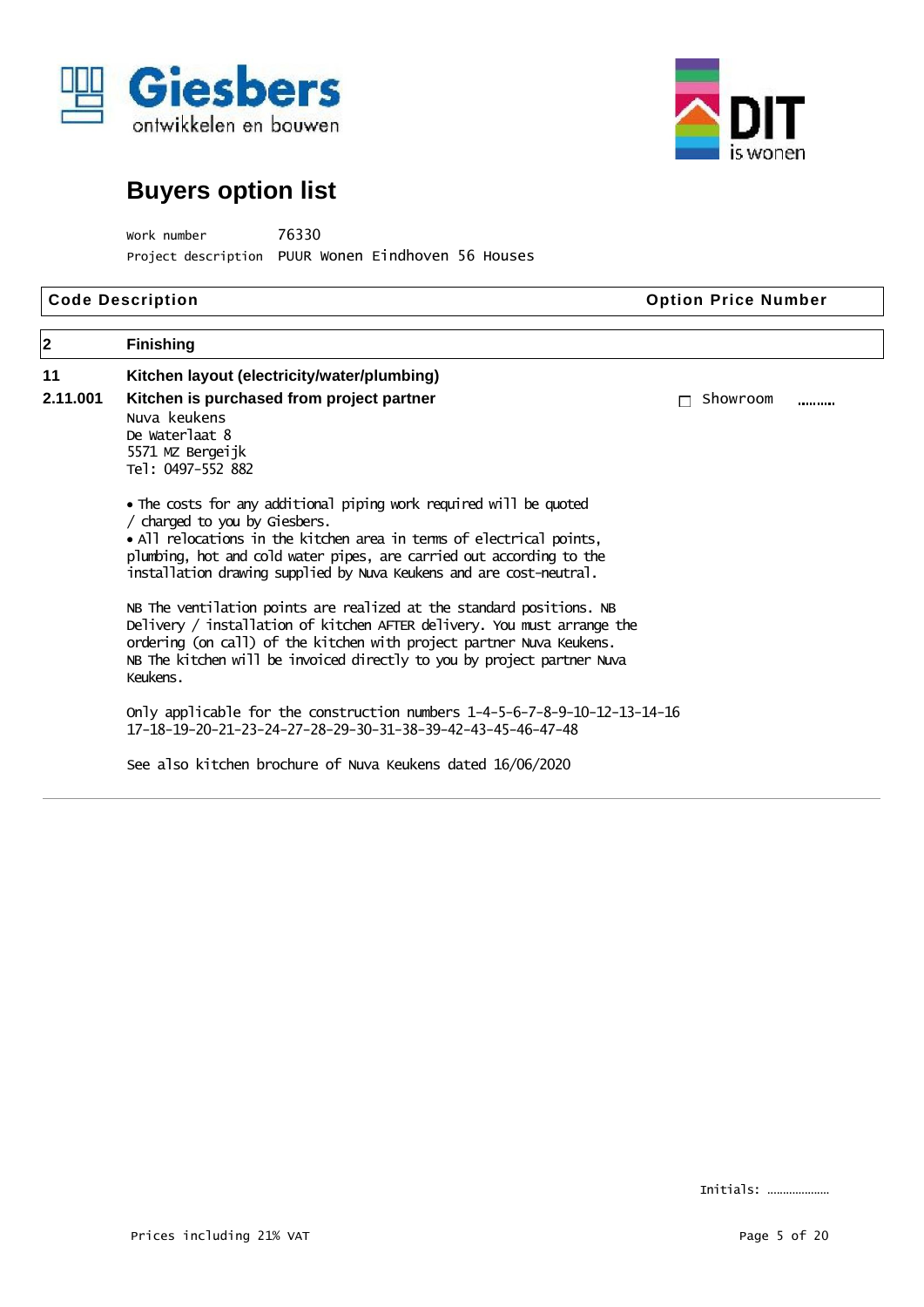



Work number 76330 Project description PUUR Wonen Eindhoven 56 Houses

| <b>Code Description</b> |                                                                                                                                                                                                                                                                                                                            | <b>Option Price Number</b> |  |  |
|-------------------------|----------------------------------------------------------------------------------------------------------------------------------------------------------------------------------------------------------------------------------------------------------------------------------------------------------------------------|----------------------------|--|--|
| $\overline{\mathbf{2}}$ | <b>Finishing</b>                                                                                                                                                                                                                                                                                                           |                            |  |  |
| 11                      | Kitchen layout (electricity/water/plumbing)                                                                                                                                                                                                                                                                                |                            |  |  |
| 2.11.001                | Kitchen is purchased from project partner<br>Nuva keukens<br>De Waterlaat 8<br>5571 MZ Bergeijk<br>Tel: 0497-552 882                                                                                                                                                                                                       | Showroom<br>               |  |  |
|                         | • The costs for any additional piping work required will be quoted<br>/ charged to you by Giesbers.<br>• All relocations in the kitchen area in terms of electrical points,<br>plumbing, hot and cold water pipes, are carried out according to the<br>installation drawing supplied by Nuva Keukens and are cost-neutral. |                            |  |  |
|                         | NB The ventilation points are realized at the standard positions. NB<br>Delivery / installation of kitchen AFTER delivery. You must arrange the<br>ordering (on call) of the kitchen with project partner Nuva Keukens.<br>NB The kitchen will be invoiced directly to you by project partner Nuva<br>Keukens.             |                            |  |  |
|                         | only applicable for the construction numbers 1-4-5-6-7-8-9-10-12-13-14-16<br>17-18-19-20-21-23-24-27-28-29-30-31-38-39-42-43-45-46-47-48                                                                                                                                                                                   |                            |  |  |

See also kitchen brochure of Nuva Keukens dated 16/06/2020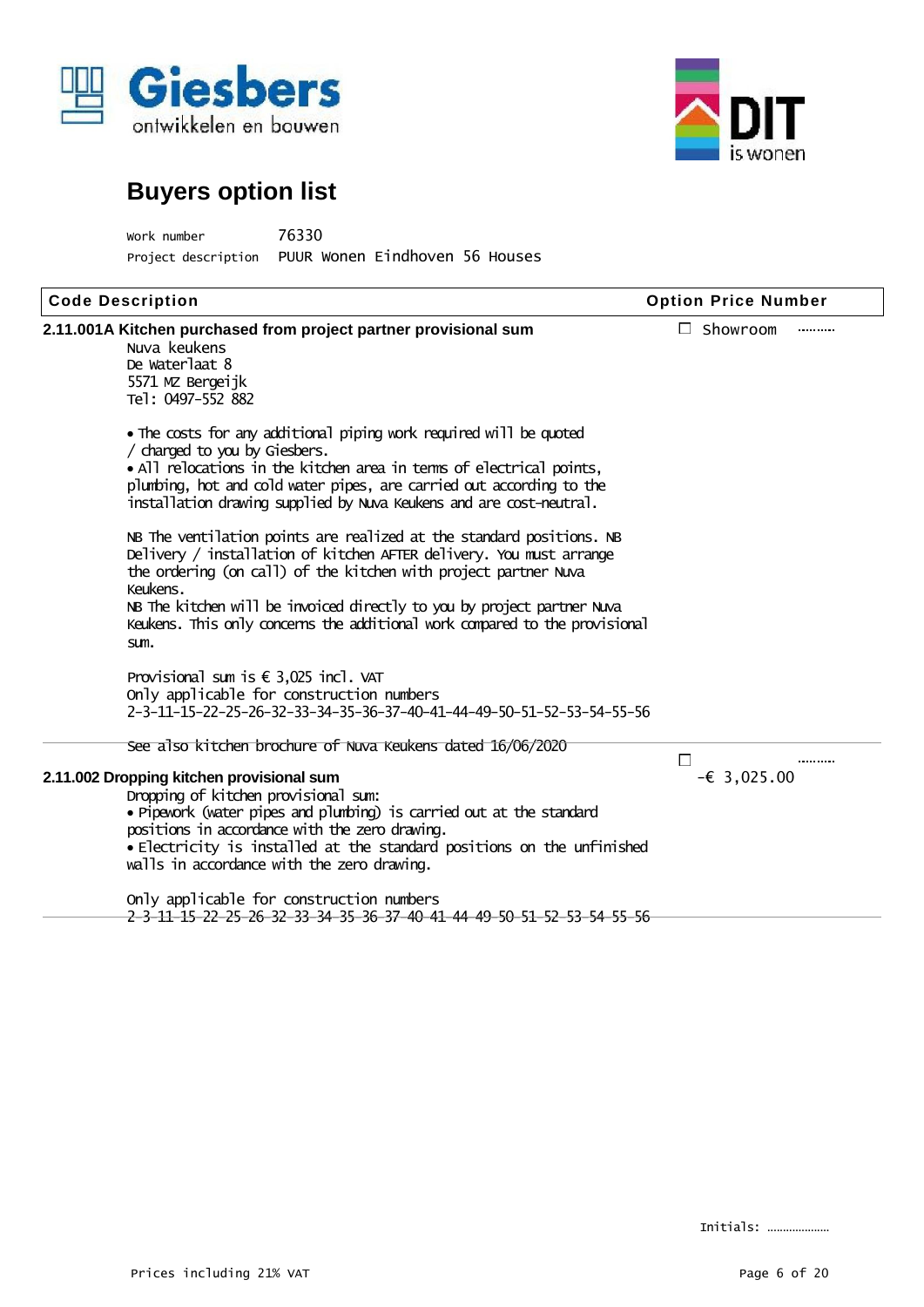



Work number 76330 Project description PUUR Wonen Eindhoven 56 Houses

| <b>Code Description</b>                                                                                                                                                                                                                                                                                                                                                                      | <b>Option Price Number</b> |
|----------------------------------------------------------------------------------------------------------------------------------------------------------------------------------------------------------------------------------------------------------------------------------------------------------------------------------------------------------------------------------------------|----------------------------|
| 2.11.001A Kitchen purchased from project partner provisional sum<br>Nuva keukens<br>De Waterlaat 8<br>5571 MZ Bergeijk<br>Tel: 0497-552 882                                                                                                                                                                                                                                                  | $\Box$ Showroom<br>        |
| . The costs for any additional piping work required will be quoted<br>/ charged to you by Giesbers.<br>. All relocations in the kitchen area in tenns of electrical points,<br>plumbing, hot and cold water pipes, are carried out according to the<br>installation drawing supplied by Nuva Keukens and are cost-neutral.                                                                   |                            |
| NB The ventilation points are realized at the standard positions. NB<br>Delivery / installation of kitchen AFTER delivery. You must arrange<br>the ordering (on call) of the kitchen with project partner Nuva<br>Keukens.<br>NB The kitchen will be invoiced directly to you by project partner Nuva<br>Keukens. This only concerns the additional work compared to the provisional<br>sum. |                            |
| Provisional sum is $\epsilon$ 3,025 incl. VAT<br>Only applicable for construction numbers<br>2-3-11-15-22-25-26-32-33-34-35-36-37-40-41-44-49-50-51-52-53-54-55-56                                                                                                                                                                                                                           |                            |
| See also kitchen brochure of Nuva Keukens dated 16/06/2020                                                                                                                                                                                                                                                                                                                                   | П<br>                      |
| 2.11.002 Dropping kitchen provisional sum<br>Dropping of kitchen provisional sum:<br>. Pipework (water pipes and plunbing) is carried out at the standard<br>positions in accordance with the zero drawing.<br>• Electricity is installed at the standard positions on the unfinished<br>walls in accordance with the zero drawing.                                                          | $-\epsilon$ 3,025.00       |

Only applicable for construction numbers 2-3-11-15-22-25-26-32-33-34-35-36-37-40-41-44-49-50-51-52-53-54-55-56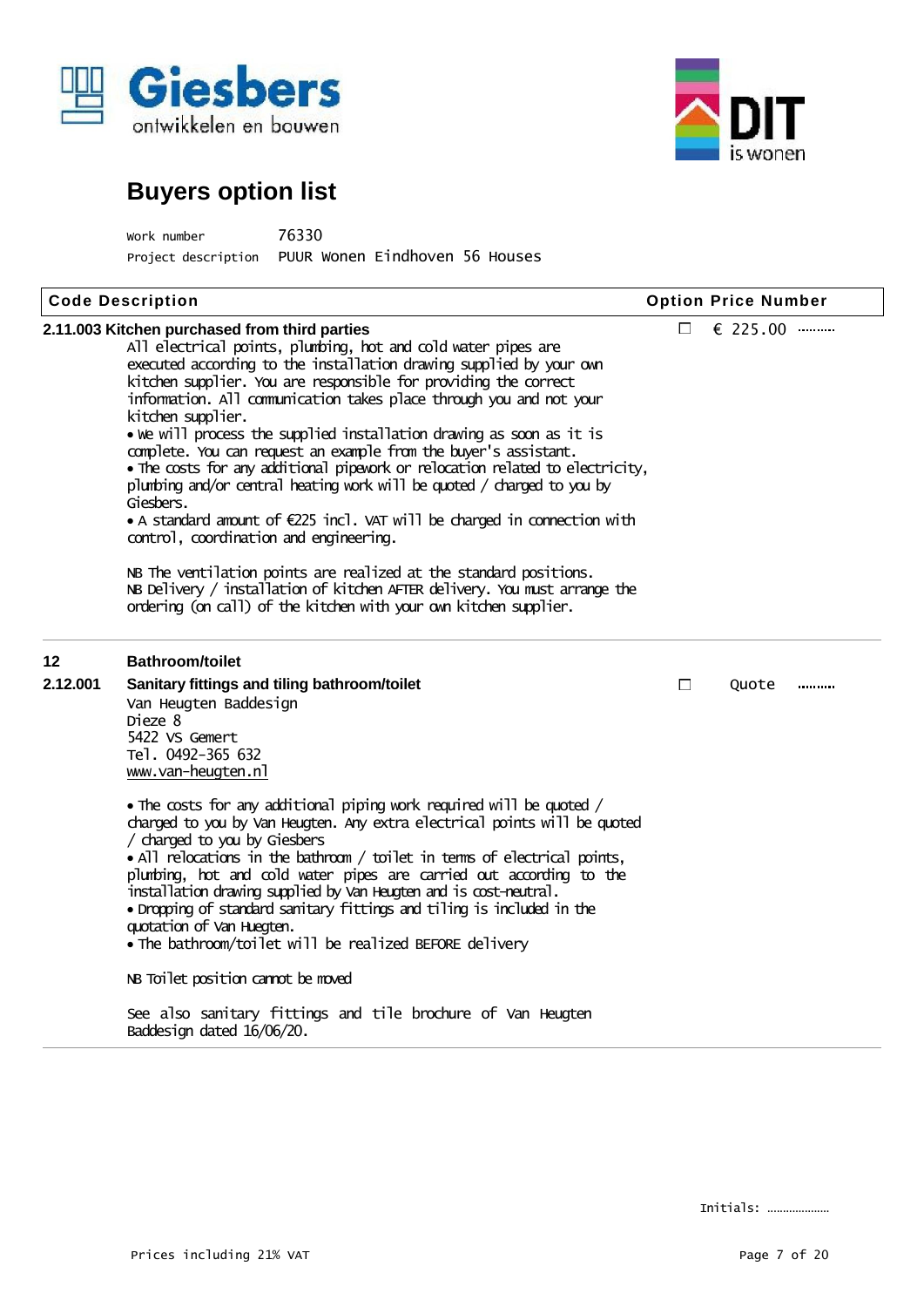



| Work number         | 76330                          |  |
|---------------------|--------------------------------|--|
| Project description | PUUR Wonen Eindhoven 56 Houses |  |

|          | <b>Code Description</b>                                                                                                                                                                                                                                                                                                                                                                                                                                                                                                                                                                                                                                                                                                                                                                                                                                                                                                                                                                                                   |                            | <b>Option Price Number</b> |
|----------|---------------------------------------------------------------------------------------------------------------------------------------------------------------------------------------------------------------------------------------------------------------------------------------------------------------------------------------------------------------------------------------------------------------------------------------------------------------------------------------------------------------------------------------------------------------------------------------------------------------------------------------------------------------------------------------------------------------------------------------------------------------------------------------------------------------------------------------------------------------------------------------------------------------------------------------------------------------------------------------------------------------------------|----------------------------|----------------------------|
|          | 2.11.003 Kitchen purchased from third parties<br>All electrical points, plumbing, hot and cold water pipes are<br>executed according to the installation drawing supplied by your own<br>kitchen supplier. You are responsible for providing the correct<br>information. All communication takes place through you and not your<br>kitchen supplier.<br>• We will process the supplied installation drawing as soon as it is<br>complete. You can request an example from the buyer's assistant.<br>. The costs for any additional pipework or relocation related to electricity,<br>plunbing and/or central heating work will be quoted / charged to you by<br>Giesbers.<br>• A standard amount of $E225$ incl. VAT will be charged in connection with<br>control, coordination and engineering.<br>NB The ventilation points are realized at the standard positions.<br>NB Delivery / installation of kitchen AFTER delivery. You must arrange the<br>ordering (on call) of the kitchen with your own kitchen supplier. | $\Box$                     | € 225.00                   |
| 12       | <b>Bathroom/toilet</b>                                                                                                                                                                                                                                                                                                                                                                                                                                                                                                                                                                                                                                                                                                                                                                                                                                                                                                                                                                                                    |                            |                            |
| 2.12.001 | Sanitary fittings and tiling bathroom/toilet<br>Van Heugten Baddesign<br>Dieze 8<br>5422 VS Gemert<br>Tel. 0492-365 632<br>www.van-heugten.nl                                                                                                                                                                                                                                                                                                                                                                                                                                                                                                                                                                                                                                                                                                                                                                                                                                                                             | $\mathcal{L}_{\text{max}}$ | Quote                      |
|          | • The costs for any additional piping work required will be quoted /<br>charged to you by Van Heugten. Any extra electrical points will be quoted<br>/ charged to you by Giesbers<br>• All relocations in the bathroom / toilet in terms of electrical points,<br>plunbing, hot and cold water pipes are carried out according to the<br>installation drawing supplied by Van Heugten and is cost-neutral.<br>• Dropping of standard sanitary fittings and tiling is included in the<br>quotation of Van Huegten.<br>• The bathroom/toilet will be realized BEFORE delivery                                                                                                                                                                                                                                                                                                                                                                                                                                               |                            |                            |
|          | NB Toilet position cannot be moved                                                                                                                                                                                                                                                                                                                                                                                                                                                                                                                                                                                                                                                                                                                                                                                                                                                                                                                                                                                        |                            |                            |
|          | See also sanitary fittings and tile brochure of Van Heugten<br>Baddesign dated 16/06/20.                                                                                                                                                                                                                                                                                                                                                                                                                                                                                                                                                                                                                                                                                                                                                                                                                                                                                                                                  |                            |                            |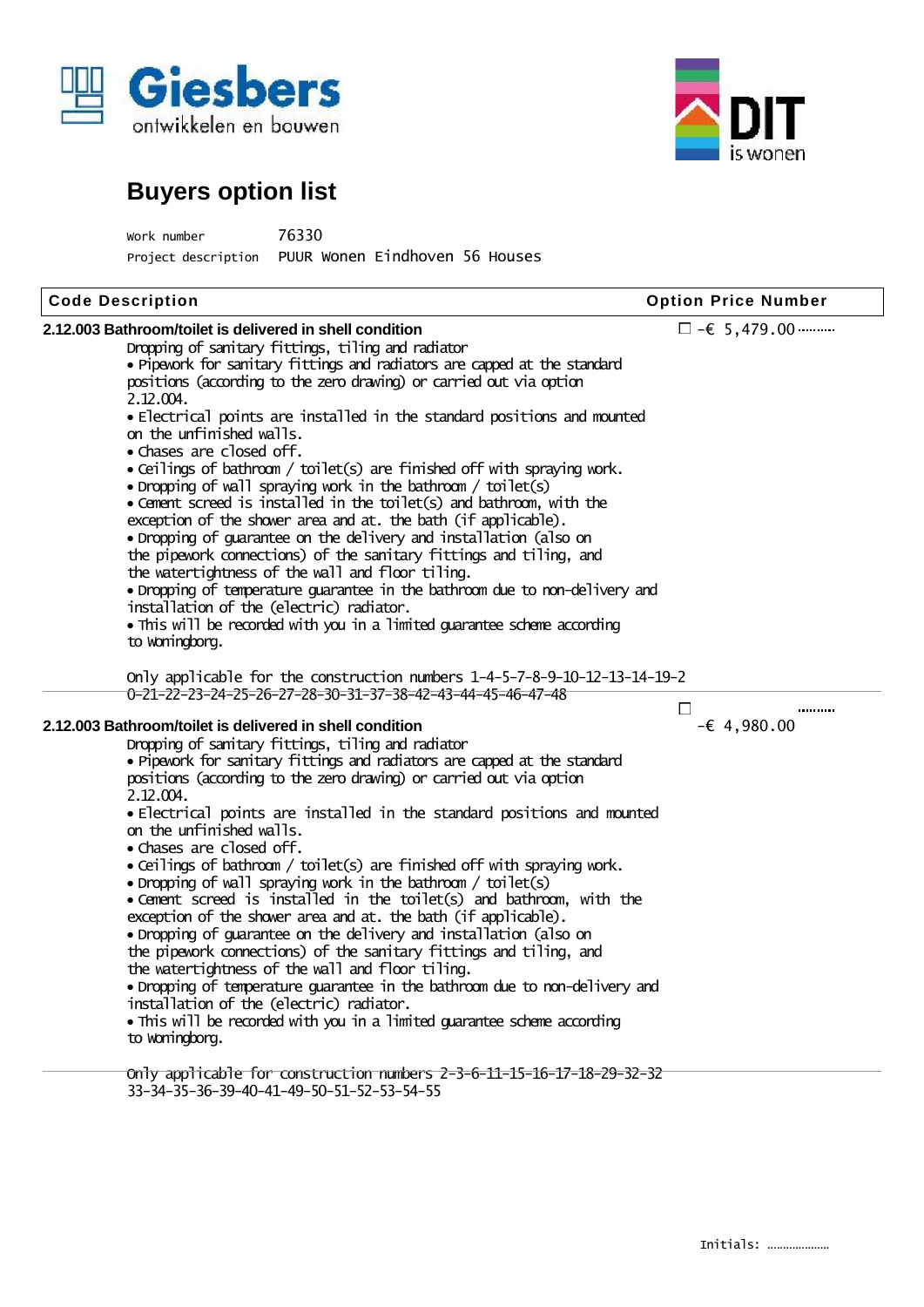



| Work number         | 76330                          |  |
|---------------------|--------------------------------|--|
| Project description | PUUR Wonen Eindhoven 56 Houses |  |

| <b>Code Description</b>                                                     | <b>Option Price Number</b>   |  |  |
|-----------------------------------------------------------------------------|------------------------------|--|--|
| 2.12.003 Bathroom/toilet is delivered in shell condition                    | $\Box$ - $\epsilon$ 5,479.00 |  |  |
| Dropping of sanitary fittings, tiling and radiator                          |                              |  |  |
| • Pipework for sanitary fittings and radiators are capped at the standard   |                              |  |  |
| positions (according to the zero drawing) or carried out via option         |                              |  |  |
| 2.12.004.                                                                   |                              |  |  |
| • Electrical points are installed in the standard positions and mounted     |                              |  |  |
| on the unfinished walls.                                                    |                              |  |  |
| • Chases are closed off.                                                    |                              |  |  |
| • Ceilings of bathroom / toilet(s) are finished off with spraying work.     |                              |  |  |
| • Dropping of wall spraying work in the bathroom / toilet(s)                |                              |  |  |
| • Cement screed is installed in the toilet(s) and bathroom, with the        |                              |  |  |
| exception of the shower area and at. the bath (if applicable).              |                              |  |  |
| • Dropping of guarantee on the delivery and installation (also on           |                              |  |  |
| the pipework connections) of the sanitary fittings and tiling, and          |                              |  |  |
| the watertightness of the wall and floor tiling.                            |                              |  |  |
| • Dropping of temperature guarantee in the bathroom due to non-delivery and |                              |  |  |
| installation of the (electric) radiator.                                    |                              |  |  |
| . This will be recorded with you in a limited guarantee scheme according    |                              |  |  |
| to woningborg.                                                              |                              |  |  |
|                                                                             |                              |  |  |
| Only applicable for the construction numbers 1-4-5-7-8-9-10-12-13-14-19-2   |                              |  |  |
| 0-21-22-23-24-25-26-27-28-30-31-37-38-42-43-44-45-46-47-48                  |                              |  |  |
|                                                                             | $\Box$<br>                   |  |  |
| 2.12.003 Bathroom/toilet is delivered in shell condition                    | $-64,980.00$                 |  |  |
| Dropping of sanitary fittings, tiling and radiator                          |                              |  |  |
| • Pipevork for sanitary fittings and radiators are capped at the standard   |                              |  |  |
| positions (according to the zero drawing) or carried out via option         |                              |  |  |
| 2.12.004.                                                                   |                              |  |  |
| • Electrical points are installed in the standard positions and mounted     |                              |  |  |
| on the unfinished walls.                                                    |                              |  |  |
| • Chases are closed off.                                                    |                              |  |  |
| • Ceilings of bathroom / toilet(s) are finished off with spraying work.     |                              |  |  |
| • Dropping of wall spraying work in the bathroom / toilet(s)                |                              |  |  |
| • Cement screed is installed in the toilet(s) and bathroom, with the        |                              |  |  |
| exception of the shower area and at. the bath (if applicable).              |                              |  |  |
| • Dropping of guarantee on the delivery and installation (also on           |                              |  |  |
| the pipework connections) of the sanitary fittings and tiling, and          |                              |  |  |
| the watertightness of the wall and floor tiling.                            |                              |  |  |
| · Dropping of temperature guarantee in the bathroom due to non-delivery and |                              |  |  |
| installation of the (electric) radiator.                                    |                              |  |  |
| • This will be recorded with you in a limited guarantee scheme according    |                              |  |  |
| to woningborg.                                                              |                              |  |  |
|                                                                             |                              |  |  |
| Only applicable for construction numbers 2-3-6-11-15-16-17-18-29-32-32      |                              |  |  |
| 33-34-35-36-39-40-41-49-50-51-52-53-54-55                                   |                              |  |  |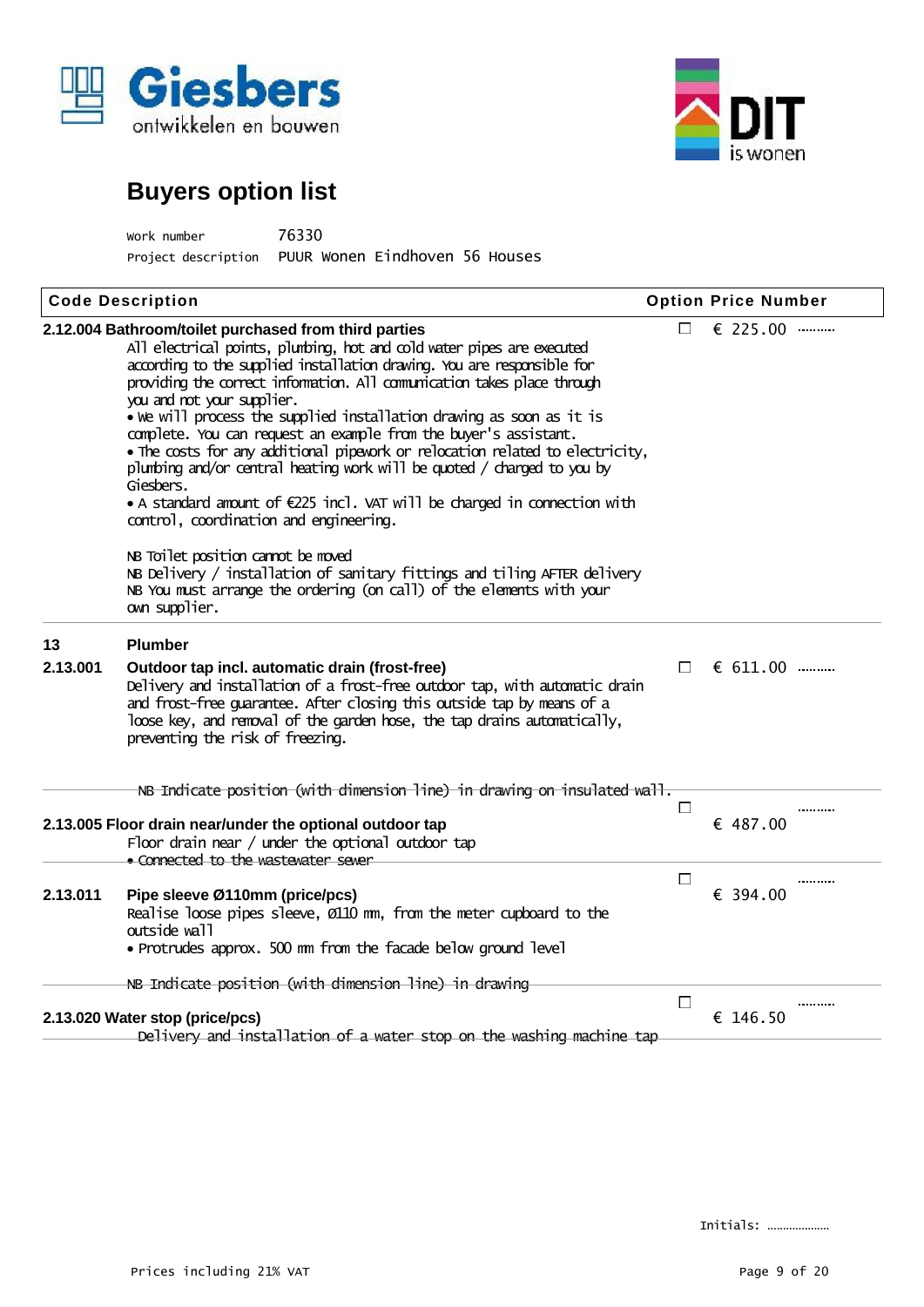



| Work number         | 76330                          |  |  |
|---------------------|--------------------------------|--|--|
| Project description | PUUR Wonen Eindhoven 56 Houses |  |  |

|                | <b>Code Description</b>                                                                                                                                                                                                                                                                                                                                                                                                                                                                                                                                                                                                                                                                                                                                        |                | <b>Option Price Number</b> |
|----------------|----------------------------------------------------------------------------------------------------------------------------------------------------------------------------------------------------------------------------------------------------------------------------------------------------------------------------------------------------------------------------------------------------------------------------------------------------------------------------------------------------------------------------------------------------------------------------------------------------------------------------------------------------------------------------------------------------------------------------------------------------------------|----------------|----------------------------|
|                | 2.12.004 Bathroom/toilet purchased from third parties<br>All electrical points, plunbing, hot and cold water pipes are executed<br>according to the supplied installation drawing. You are responsible for<br>providing the correct information. All comunication takes place through<br>you and not your supplier.<br>• we will process the supplied installation drawing as soon as it is<br>complete. You can request an example from the buyer's assistant.<br>. The costs for any additional pipework or relocation related to electricity,<br>plunbing and/or central heating work will be quoted / charged to you by<br>Giesbers.<br>• A standard amount of €225 incl. VAT will be charged in connection with<br>control, coordination and engineering. | F I            | € 225.00                   |
|                | NB Toilet position cannot be moved<br>NB Delivery / installation of sanitary fittings and tiling AFTER delivery<br>NB You must arrange the ordering (on call) of the elements with your<br>own supplier.                                                                                                                                                                                                                                                                                                                                                                                                                                                                                                                                                       |                |                            |
| 13<br>2.13.001 | <b>Plumber</b><br>Outdoor tap incl. automatic drain (frost-free)<br>Delivery and installation of a frost-free outdoor tap, with automatic drain<br>and frost-free guarantee. After closing this outside tap by means of a<br>loose key, and removal of the garden hose, the tap drains automatically,<br>preventing the risk of freezing.                                                                                                                                                                                                                                                                                                                                                                                                                      | $\Box$         | $611.00$                   |
|                | NB Indicate position (with dimension line) in drawing on insulated wall.                                                                                                                                                                                                                                                                                                                                                                                                                                                                                                                                                                                                                                                                                       | $\mathbb{R}^n$ | .                          |
|                | 2.13.005 Floor drain near/under the optional outdoor tap<br>Floor drain near / under the optional outdoor tap<br>· Connected to the wastewater sewer                                                                                                                                                                                                                                                                                                                                                                                                                                                                                                                                                                                                           |                | € 487.00                   |
| 2.13.011       | Pipe sleeve Ø110mm (price/pcs)<br>Realise loose pipes sleeve, 0110 mm, from the meter cupboard to the<br>outside wall<br>· Protrudes approx. 500 nm from the facade below ground level                                                                                                                                                                                                                                                                                                                                                                                                                                                                                                                                                                         | E              | .<br>€ 394.00              |
|                | NB Indicate position (with dimension line) in drawing                                                                                                                                                                                                                                                                                                                                                                                                                                                                                                                                                                                                                                                                                                          |                |                            |
|                | 2.13.020 Water stop (price/pcs)<br>Delivery and installation of a water stop on the washing machine tap                                                                                                                                                                                                                                                                                                                                                                                                                                                                                                                                                                                                                                                        | $\Box$         | .<br>€ 146.50              |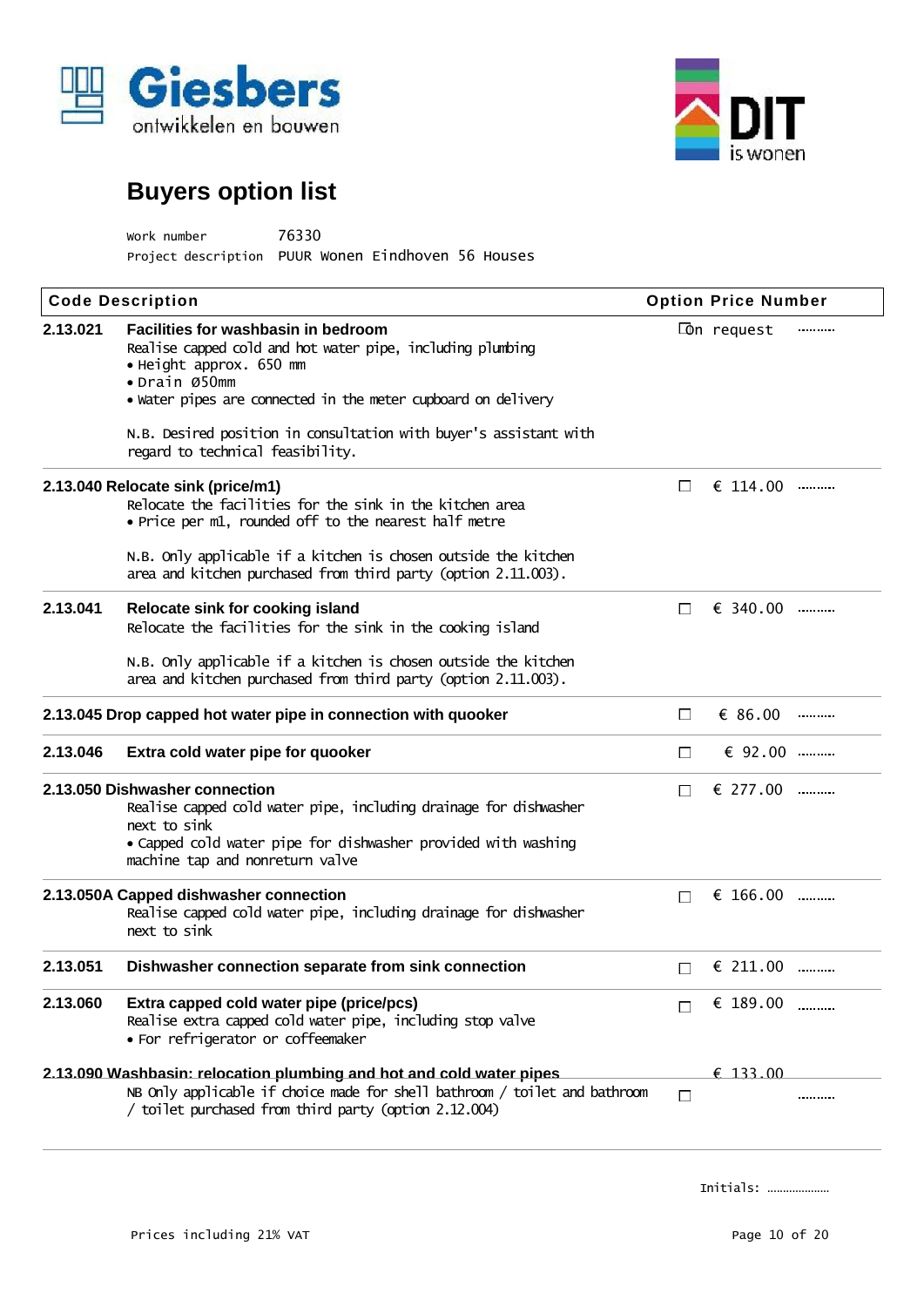



| work number                                        | 76330 |  |
|----------------------------------------------------|-------|--|
| Project description PUUR Wonen Eindhoven 56 Houses |       |  |

| <b>Code Description</b>                                        |                                                                                                                                                                                                                                                                                                                         | <b>Option Price Number</b> |                    |   |
|----------------------------------------------------------------|-------------------------------------------------------------------------------------------------------------------------------------------------------------------------------------------------------------------------------------------------------------------------------------------------------------------------|----------------------------|--------------------|---|
| 2.13.021                                                       | Facilities for washbasin in bedroom<br>Realise capped cold and hot water pipe, including plumbing<br>• Height approx. 650 mm<br>• Drain Ø50mm<br>• Water pipes are connected in the meter cupboard on delivery<br>N.B. Desired position in consultation with buyer's assistant with<br>regard to technical feasibility. |                            | <b>Con</b> request |   |
|                                                                | 2.13.040 Relocate sink (price/m1)<br>Relocate the facilities for the sink in the kitchen area<br>• Price per m1, rounded off to the nearest half metre                                                                                                                                                                  | $\mathsf{L}$               | € 114.00           |   |
|                                                                | N.B. Only applicable if a kitchen is chosen outside the kitchen<br>area and kitchen purchased from third party (option 2.11.003).                                                                                                                                                                                       |                            |                    |   |
| 2.13.041                                                       | Relocate sink for cooking island<br>Relocate the facilities for the sink in the cooking island<br>N.B. Only applicable if a kitchen is chosen outside the kitchen<br>area and kitchen purchased from third party (option 2.11.003).                                                                                     | Ħ                          | $\epsilon$ 340.00  |   |
| 2.13.045 Drop capped hot water pipe in connection with quooker |                                                                                                                                                                                                                                                                                                                         | П                          | $\epsilon$ 86.00   |   |
| 2.13.046                                                       | Extra cold water pipe for quooker                                                                                                                                                                                                                                                                                       | П                          | € $92.00$          |   |
|                                                                | 2.13.050 Dishwasher connection<br>Realise capped cold water pipe, including drainage for dishwasher<br>next to sink<br>• Capped cold water pipe for dishwasher provided with washing<br>machine tap and nonreturn valve                                                                                                 | П                          | $\epsilon$ 277.00  |   |
|                                                                | 2.13.050A Capped dishwasher connection<br>Realise capped cold water pipe, including drainage for dishwasher<br>next to sink                                                                                                                                                                                             | $\Box$                     | € 166.00           |   |
| 2.13.051                                                       | Dishwasher connection separate from sink connection                                                                                                                                                                                                                                                                     |                            | € 211.00           |   |
| 2.13.060                                                       | Extra capped cold water pipe (price/pcs)<br>Realise extra capped cold water pipe, including stop valve<br>• For refrigerator or coffeemaker                                                                                                                                                                             |                            | € 189.00           | . |
|                                                                | 2.13.090 Washbasin: relocation plumbing and hot and cold water pipes<br>NB Only applicable if choice made for shell bathroom / toilet and bathroom<br>/ toilet purchased from third party (option 2.12.004)                                                                                                             | П                          | € 133.00           |   |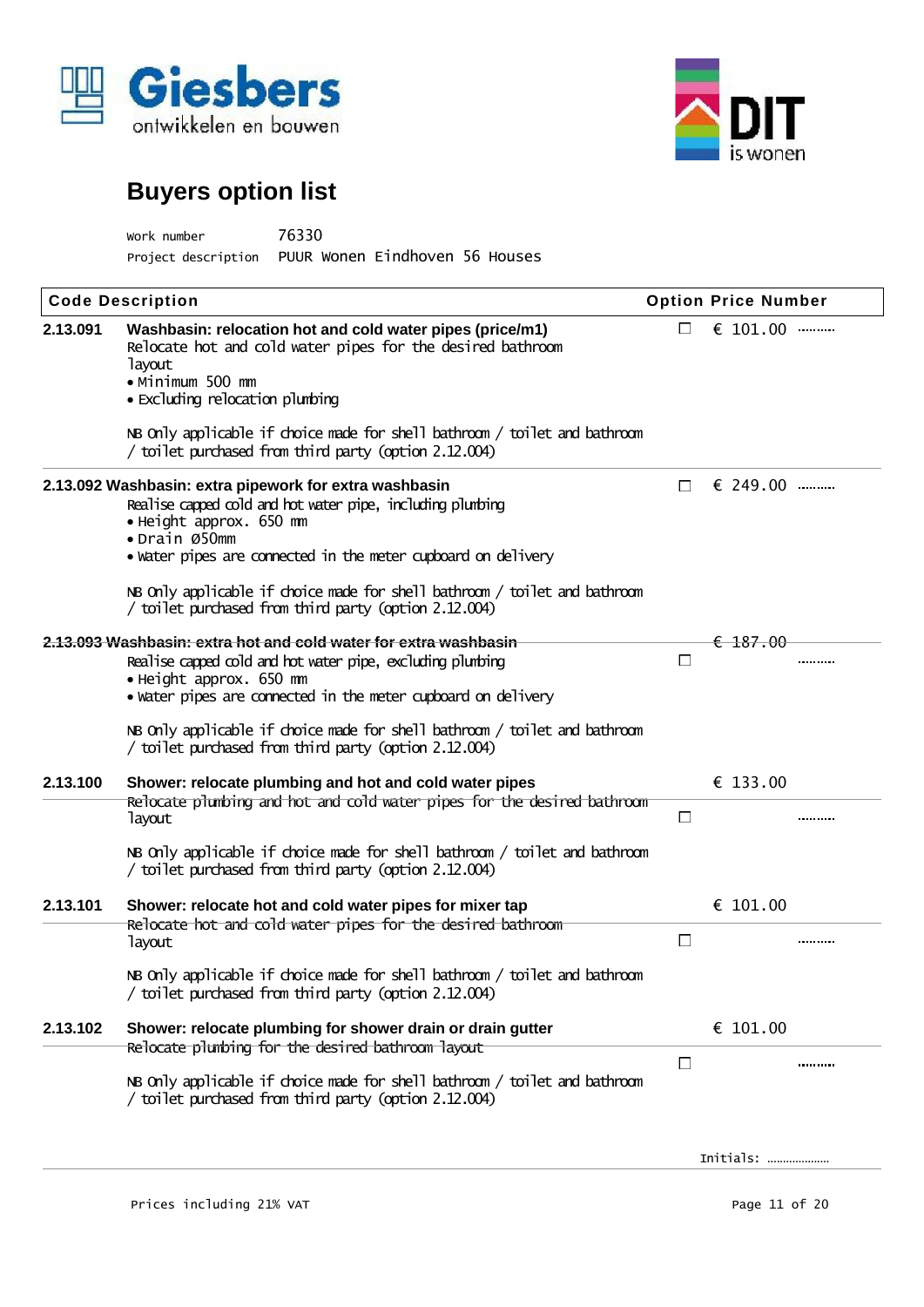



| Work number         | 76330                          |
|---------------------|--------------------------------|
| Project description | PUUR Wonen Eindhoven 56 Houses |

| <b>Code Description</b> |                                                                                                                                                                                                                                                                                                                                                                          |              | <b>Option Price Number</b> |  |
|-------------------------|--------------------------------------------------------------------------------------------------------------------------------------------------------------------------------------------------------------------------------------------------------------------------------------------------------------------------------------------------------------------------|--------------|----------------------------|--|
| 2.13.091                | Washbasin: relocation hot and cold water pipes (price/m1)<br>Relocate hot and cold water pipes for the desired bathroom<br><b>layout</b><br>• Minimum 500 mm<br>• Excluding relocation plumbing<br>NB Only applicable if choice made for shell bathroom / toilet and bathroom                                                                                            | П            | € 101.00                   |  |
|                         | / toilet purchased from third party (option 2.12.004)                                                                                                                                                                                                                                                                                                                    |              |                            |  |
|                         | 2.13.092 Washbasin: extra pipework for extra washbasin<br>Realise capped cold and hot water pipe, including plunbing<br>• Height approx. 650 mm<br>• Drain Ø50mm<br>· water pipes are connected in the meter cupboard on delivery<br>NB Only applicable if choice made for shell bathroom / toilet and bathroom<br>/ toilet purchased from third party (option 2.12.004) | $\mathbb{H}$ | € 249.00                   |  |
|                         |                                                                                                                                                                                                                                                                                                                                                                          |              |                            |  |
|                         | 2.13.093 Washbasin: extra hot and cold water for extra washbasin<br>Realise capped cold and hot water pipe, excluding plunbing<br>• Height approx. 650 mm<br>• water pipes are connected in the meter cupboard on delivery<br>NB Only applicable if choice made for shell bathroom / toilet and bathroom                                                                 | T.           | €187.00                    |  |
|                         | / toilet purchased from third party (option 2.12.004)                                                                                                                                                                                                                                                                                                                    |              |                            |  |
| 2.13.100                | Shower: relocate plumbing and hot and cold water pipes<br>Relocate plumbing and hot and cold water pipes for the desired bathroom<br><b>layout</b>                                                                                                                                                                                                                       | $\Box$       | € 133.00                   |  |
|                         | NB Only applicable if choice made for shell bathroom / toilet and bathroom<br>/ toilet purchased from third party (option 2.12.004)                                                                                                                                                                                                                                      |              |                            |  |
| 2.13.101                | Shower: relocate hot and cold water pipes for mixer tap                                                                                                                                                                                                                                                                                                                  |              | € 101.00                   |  |
|                         | Relocate hot and cold water pipes for the desired bathroom<br><b>layout</b>                                                                                                                                                                                                                                                                                              | $\mathsf{L}$ |                            |  |
|                         | NB Only applicable if choice made for shell bathroom / toilet and bathroom<br>/ toilet purchased from third party (option 2.12.004)                                                                                                                                                                                                                                      |              |                            |  |
| 2.13.102                | Shower: relocate plumbing for shower drain or drain gutter                                                                                                                                                                                                                                                                                                               |              | € $101.00$                 |  |
|                         | Relocate plumbing for the desired bathroom layout                                                                                                                                                                                                                                                                                                                        | $\Box$       |                            |  |
|                         | NB Only applicable if choice made for shell bathroom / toilet and bathroom<br>/ toilet purchased from third party (option 2.12.004)                                                                                                                                                                                                                                      |              |                            |  |
|                         |                                                                                                                                                                                                                                                                                                                                                                          |              | Initials:                  |  |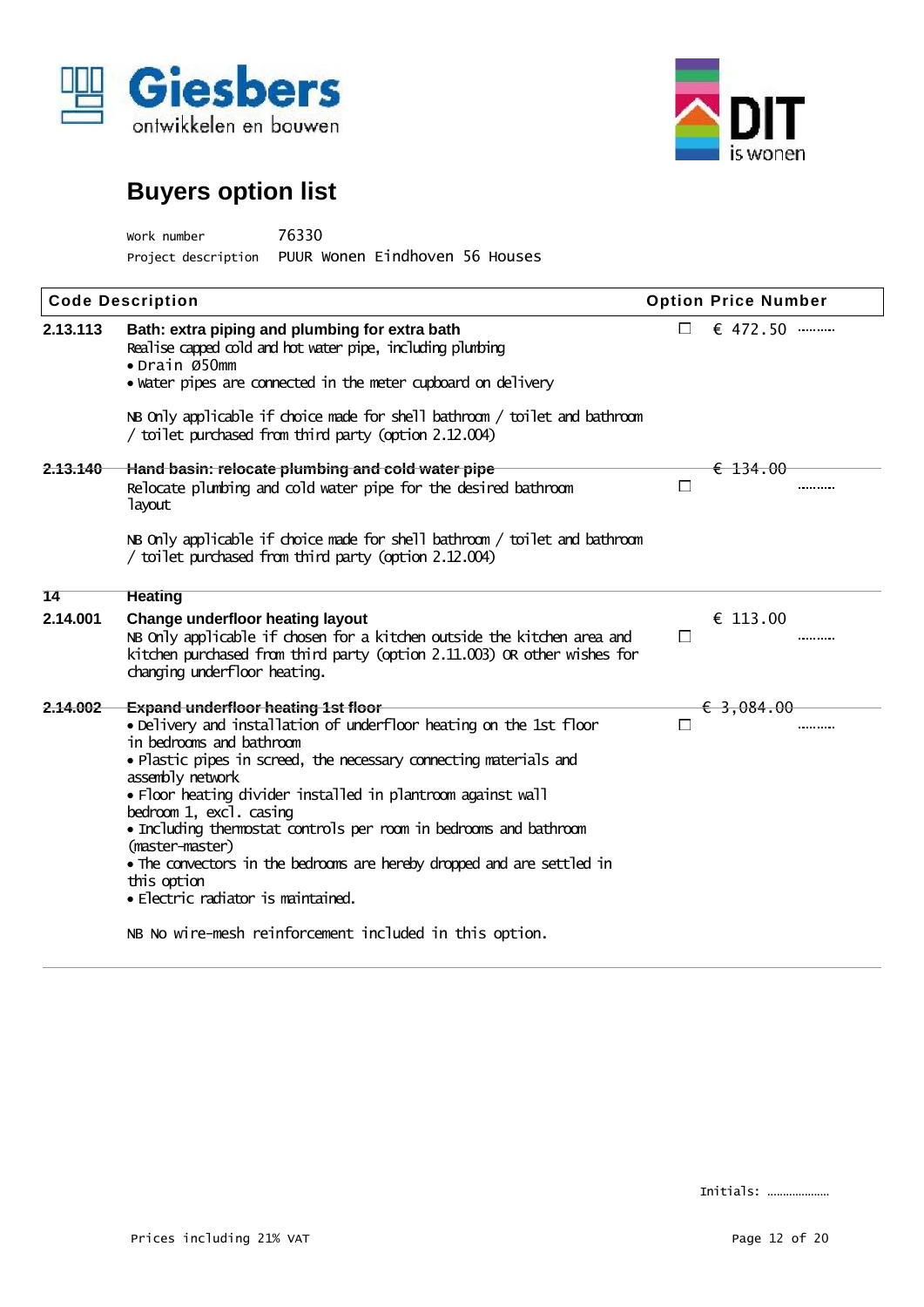



Work number 76330 Project description PUUR Wonen Eindhoven 56 Houses

| <b>Code Description</b> |                                                                                                                                                                                                                                                                                                                                                                                                                                                                                                                                                                                                                 |                             | <b>Option Price Number</b> |  |  |
|-------------------------|-----------------------------------------------------------------------------------------------------------------------------------------------------------------------------------------------------------------------------------------------------------------------------------------------------------------------------------------------------------------------------------------------------------------------------------------------------------------------------------------------------------------------------------------------------------------------------------------------------------------|-----------------------------|----------------------------|--|--|
| 2.13.113                | Bath: extra piping and plumbing for extra bath<br>Realise capped cold and hot water pipe, including plunbing<br>• Drain Ø50mm<br>· water pipes are connected in the meter cupboard on delivery                                                                                                                                                                                                                                                                                                                                                                                                                  | $\mathcal{C}^{\mathcal{A}}$ | $\epsilon$ 472.50          |  |  |
|                         | NB Only applicable if choice made for shell bathroom / toilet and bathroom<br>/ toilet purchased from third party (option 2.12.004)                                                                                                                                                                                                                                                                                                                                                                                                                                                                             |                             |                            |  |  |
| 2.13.140                | Hand basin: relocate plumbing and cold water pipe<br>Relocate plumbing and cold water pipe for the desired bathroom<br><b>layout</b>                                                                                                                                                                                                                                                                                                                                                                                                                                                                            | П                           | $\epsilon$ 134.00<br>      |  |  |
|                         | NB Only applicable if choice made for shell bathroom / toilet and bathroom<br>/ toilet purchased from third party (option 2.12.004)                                                                                                                                                                                                                                                                                                                                                                                                                                                                             |                             |                            |  |  |
| 14                      | <b>Heating</b>                                                                                                                                                                                                                                                                                                                                                                                                                                                                                                                                                                                                  |                             |                            |  |  |
| 2.14.001                | Change underfloor heating layout<br>NB Only applicable if chosen for a kitchen outside the kitchen area and<br>kitchen purchased from third party (option 2.11.003) OR other wishes for<br>changing underfloor heating.                                                                                                                                                                                                                                                                                                                                                                                         | $\Box$                      | € 113.00<br>               |  |  |
| 2.14.002                | <b>Expand underfloor heating 1st floor</b><br>• Delivery and installation of underfloor heating on the 1st floor<br>in bedrooms and bathroom<br>• Plastic pipes in screed, the necessary connecting materials and<br>assembly network<br>• Floor heating divider installed in plantroom against wall<br>bedroom 1, excl. casing<br>• Including themostat controls per room in bedrooms and bathroom<br>(master-master)<br>• The convectors in the bedrooms are hereby dropped and are settled in<br>this option<br>• Electric radiator is maintained.<br>NB No wire-mesh reinforcement included in this option. | $\Box$                      | $\epsilon$ 3,084.00<br>    |  |  |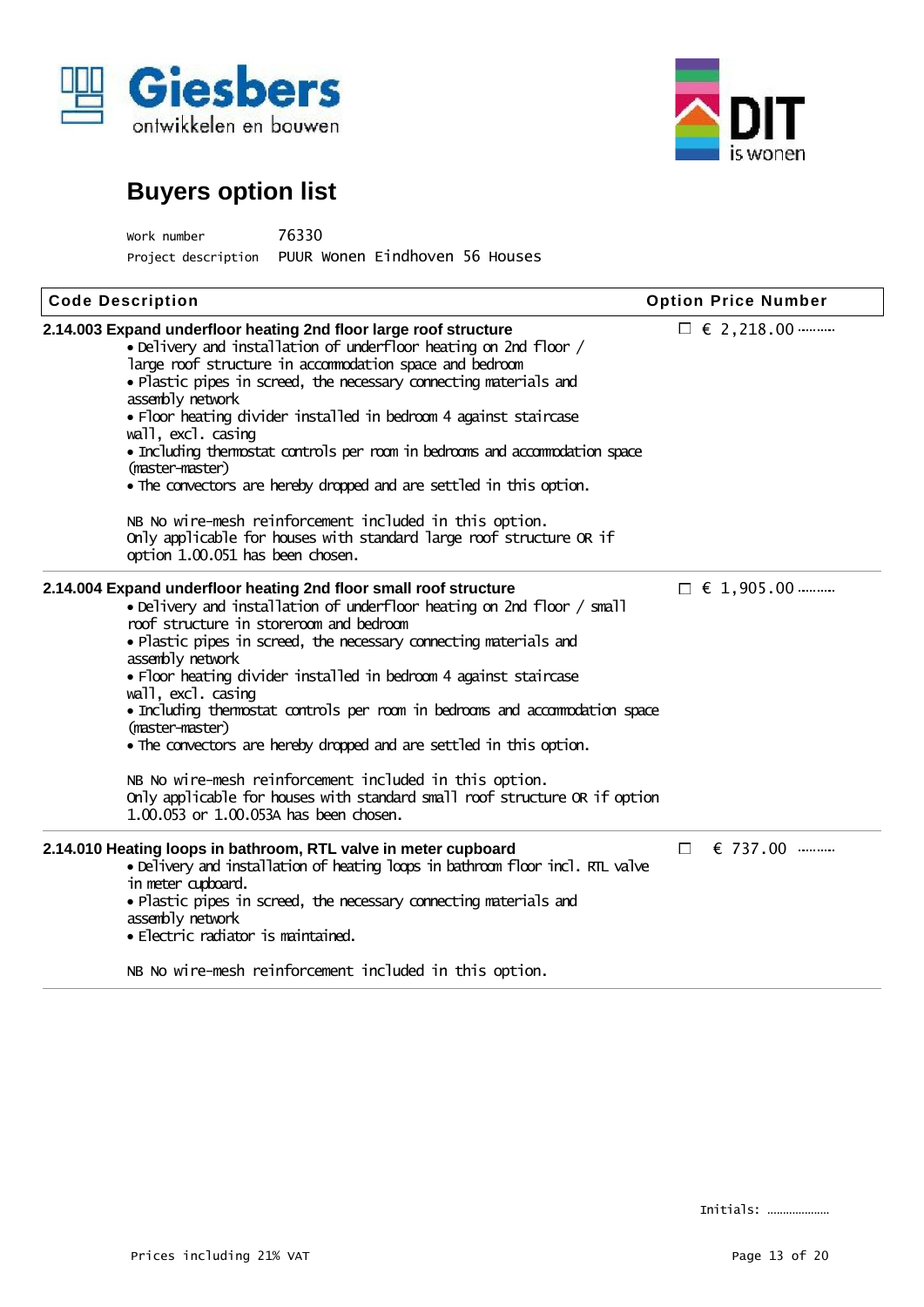



| Work number         | 76330                          |
|---------------------|--------------------------------|
| Project description | PUUR Wonen Eindhoven 56 Houses |

| <b>Code Description</b>                                                                                                                                                                                                                                                                                                                                                                                                                                                                                                                                                                                                                                                                                                               | <b>Option Price Number</b> |
|---------------------------------------------------------------------------------------------------------------------------------------------------------------------------------------------------------------------------------------------------------------------------------------------------------------------------------------------------------------------------------------------------------------------------------------------------------------------------------------------------------------------------------------------------------------------------------------------------------------------------------------------------------------------------------------------------------------------------------------|----------------------------|
| 2.14.003 Expand underfloor heating 2nd floor large roof structure<br>• Delivery and installation of underfloor heating on 2nd floor /<br>large roof structure in acconmodation space and bedroom<br>• Plastic pipes in screed, the necessary connecting materials and<br>assembly network<br>· Floor heating divider installed in bedroom 4 against staircase<br>wall, excl. casing<br>• Including themostat controls per room in bedrooms and accommodation space<br>(master-master)<br>• The convectors are hereby dropped and are settled in this option.<br>NB No wire-mesh reinforcement included in this option.<br>Only applicable for houses with standard large roof structure OR if<br>option 1.00.051 has been chosen.     | $\Box \in 2,218.00$        |
| 2.14.004 Expand underfloor heating 2nd floor small roof structure<br>. Delivery and installation of underfloor heating on 2nd floor / small<br>roof structure in storeroom and bedroom<br>· Plastic pipes in screed, the necessary connecting materials and<br>assembly network<br>• Floor heating divider installed in bedroom 4 against staircase<br>wall, excl. casing<br>• Including thermostat controls per room in bedrooms and accommodation space<br>(master-master)<br>• The convectors are hereby dropped and are settled in this option.<br>NB No wire-mesh reinforcement included in this option.<br>Only applicable for houses with standard small roof structure OR if option<br>1.00.053 or 1.00.053A has been chosen. | $\Box \in 1,905.00$        |
| 2.14.010 Heating loops in bathroom, RTL valve in meter cupboard<br>· Delivery and installation of heating loops in bathroom floor incl. RTL valve<br>in meter cupboard.<br>• Plastic pipes in screed, the necessary connecting materials and<br>assembly network<br>· Electric radiator is maintained.<br>NB No wire-mesh reinforcement included in this option.                                                                                                                                                                                                                                                                                                                                                                      | € 737.00<br>$\mathbb{R}^n$ |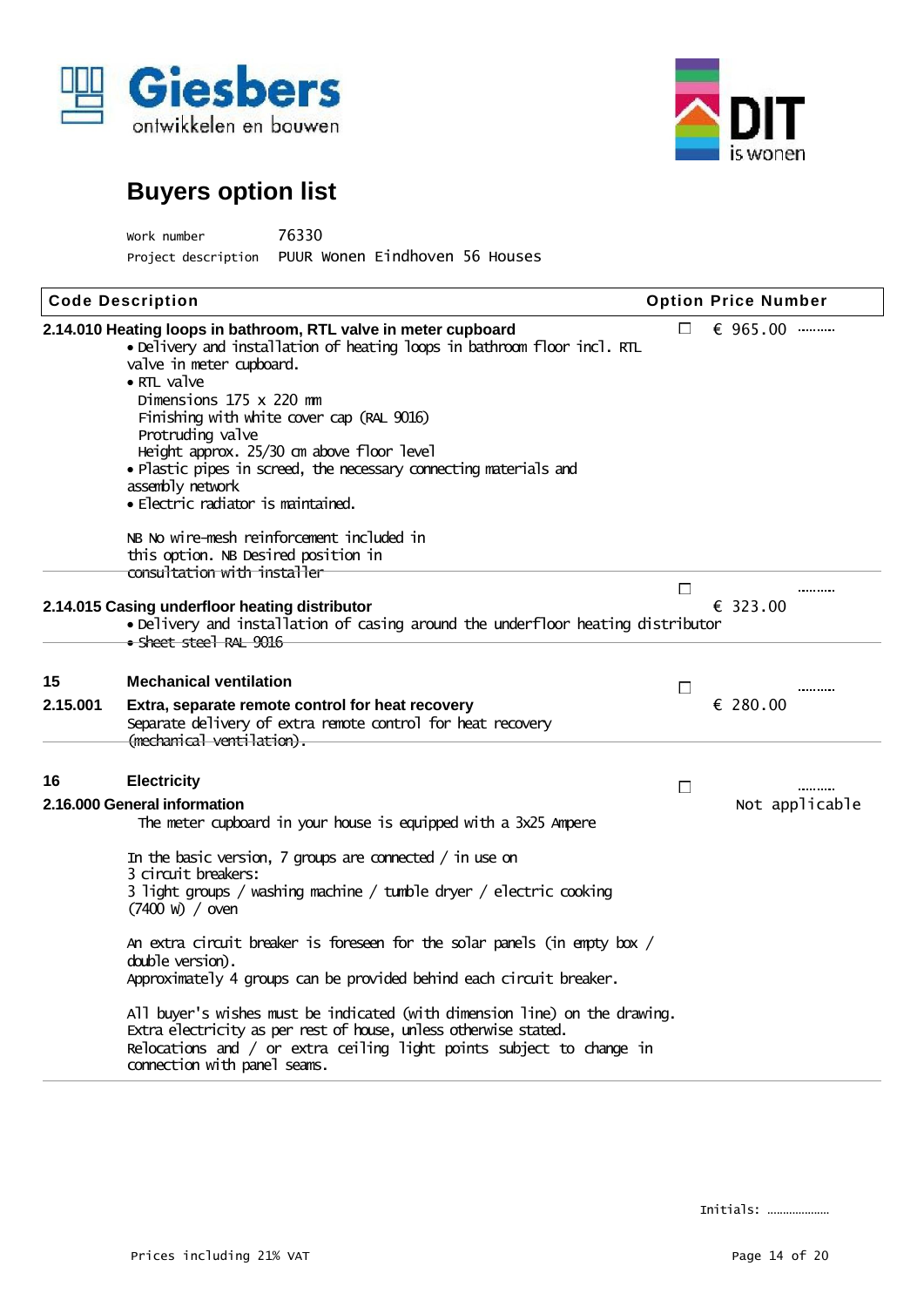



| Work number         | 76330                          |  |
|---------------------|--------------------------------|--|
| Project description | PUUR Wonen Eindhoven 56 Houses |  |

|          | <b>Code Description</b>                                                                                                                                                                                                                                                                                                                                                                                                                                                |        | <b>Option Price Number</b> |
|----------|------------------------------------------------------------------------------------------------------------------------------------------------------------------------------------------------------------------------------------------------------------------------------------------------------------------------------------------------------------------------------------------------------------------------------------------------------------------------|--------|----------------------------|
|          | 2.14.010 Heating loops in bathroom, RTL valve in meter cupboard<br>. Delivery and installation of heating loops in bathroom floor incl. RTL<br>valve in meter cupboard.<br>$\bullet$ RTL valve<br>Dimensions 175 x 220 mm<br>Finishing with white cover cap (RAL 9016)<br>Protruding valve<br>Height approx. 25/30 cm above floor level<br>. Plastic pipes in screed, the necessary connecting materials and<br>assembly network<br>• Electric radiator is maintained. | F.     | € 965.00                   |
|          | NB No wire-mesh reinforcement included in<br>this option. NB Desired position in                                                                                                                                                                                                                                                                                                                                                                                       |        |                            |
|          | consultation with installer<br>2.14.015 Casing underfloor heating distributor<br>. Delivery and installation of casing around the underfloor heating distributor<br>• Sheet stee] RAL 9016                                                                                                                                                                                                                                                                             | $\Box$ | <br>€ 323.00               |
| 15       | <b>Mechanical ventilation</b>                                                                                                                                                                                                                                                                                                                                                                                                                                          | П      |                            |
| 2.15.001 | Extra, separate remote control for heat recovery<br>Separate delivery of extra remote control for heat recovery<br>(mechanical ventilation).                                                                                                                                                                                                                                                                                                                           |        | € 280.00                   |
| 16       | <b>Electricity</b>                                                                                                                                                                                                                                                                                                                                                                                                                                                     | П      |                            |
|          | 2.16.000 General information<br>The meter cupboard in your house is equipped with a 3x25 Ampere                                                                                                                                                                                                                                                                                                                                                                        |        | Not applicable             |
|          | In the basic version, 7 groups are connected $/$ in use on<br>3 circuit breakers:<br>3 light groups / washing machine / tumble dryer / electric cooking<br>$(7400 \text{ W}) / \text{oven}$                                                                                                                                                                                                                                                                            |        |                            |
|          | An extra circuit breaker is foreseen for the solar panels (in empty box /<br>double version).<br>Approximately 4 groups can be provided behind each circuit breaker.                                                                                                                                                                                                                                                                                                   |        |                            |
|          | All buyer's wishes must be indicated (with dimension line) on the drawing.<br>Extra electricity as per rest of house, unless otherwise stated.<br>Relocations and / or extra ceiling light points subject to change in<br>connection with panel seams.                                                                                                                                                                                                                 |        |                            |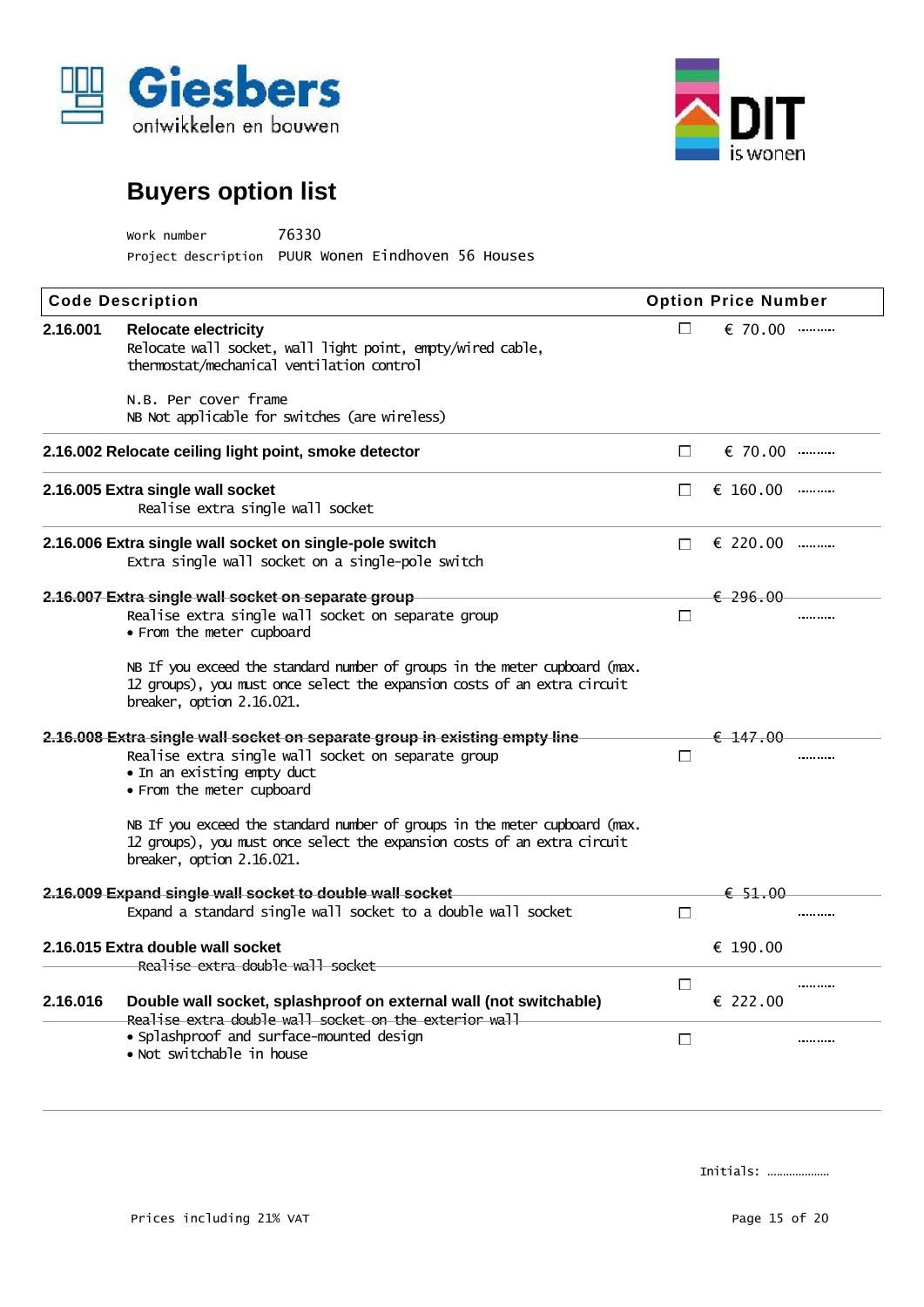



| work number                                        | 76330 |  |
|----------------------------------------------------|-------|--|
| Project description PUUR Wonen Eindhoven 56 Houses |       |  |

|          | <b>Code Description</b>                                                                                                                                                                      |        | <b>Option Price Number</b> |  |  |
|----------|----------------------------------------------------------------------------------------------------------------------------------------------------------------------------------------------|--------|----------------------------|--|--|
| 2.16.001 | <b>Relocate electricity</b><br>Relocate wall socket, wall light point, empty/wired cable,<br>thermostat/mechanical ventilation control                                                       | F.     | € 70.00                    |  |  |
|          | N.B. Per cover frame<br>NB Not applicable for switches (are wireless)                                                                                                                        |        |                            |  |  |
|          | 2.16.002 Relocate ceiling light point, smoke detector                                                                                                                                        | $\Box$ | € 70.00                    |  |  |
|          | 2.16.005 Extra single wall socket<br>Realise extra single wall socket                                                                                                                        | П      | € 160.00                   |  |  |
|          | 2.16.006 Extra single wall socket on single-pole switch<br>Extra single wall socket on a single-pole switch                                                                                  | П      | $\epsilon$ 220.00          |  |  |
|          | 2.16.007 Extra single wall socket on separate group                                                                                                                                          |        | $\epsilon$ 296.00          |  |  |
|          | Realise extra single wall socket on separate group<br>· From the meter cupboard                                                                                                              | П      |                            |  |  |
|          | NB If you exceed the standard number of groups in the meter cupboard (max.<br>12 groups), you must once select the expansion costs of an extra circuit<br>breaker, option 2.16.021.          |        |                            |  |  |
|          | 2.16.008 Extra single wall socket on separate group in existing empty line<br>Realise extra single wall socket on separate group<br>• In an existing empty duct<br>• From the meter cupboard | П      | $\epsilon$ 147.00          |  |  |
|          | NB If you exceed the standard number of groups in the meter cupboard (max.<br>12 groups), you must once select the expansion costs of an extra circuit<br>breaker, option 2.16.021.          |        |                            |  |  |
|          | 2.16.009 Expand single wall socket to double wall socket                                                                                                                                     |        | € 51.00                    |  |  |
|          | Expand a standard single wall socket to a double wall socket                                                                                                                                 | $\Box$ |                            |  |  |
|          | 2.16.015 Extra double wall socket<br>Realise extra double wall socket                                                                                                                        |        | € 190.00                   |  |  |
| 2.16.016 | Double wall socket, splashproof on external wall (not switchable)<br>Realise extra double wall socket on the exterior wall                                                                   | $\Box$ | € 222.00                   |  |  |
|          | · Splashproof and surface-mounted design<br>• Not switchable in house                                                                                                                        | П      |                            |  |  |
|          |                                                                                                                                                                                              |        |                            |  |  |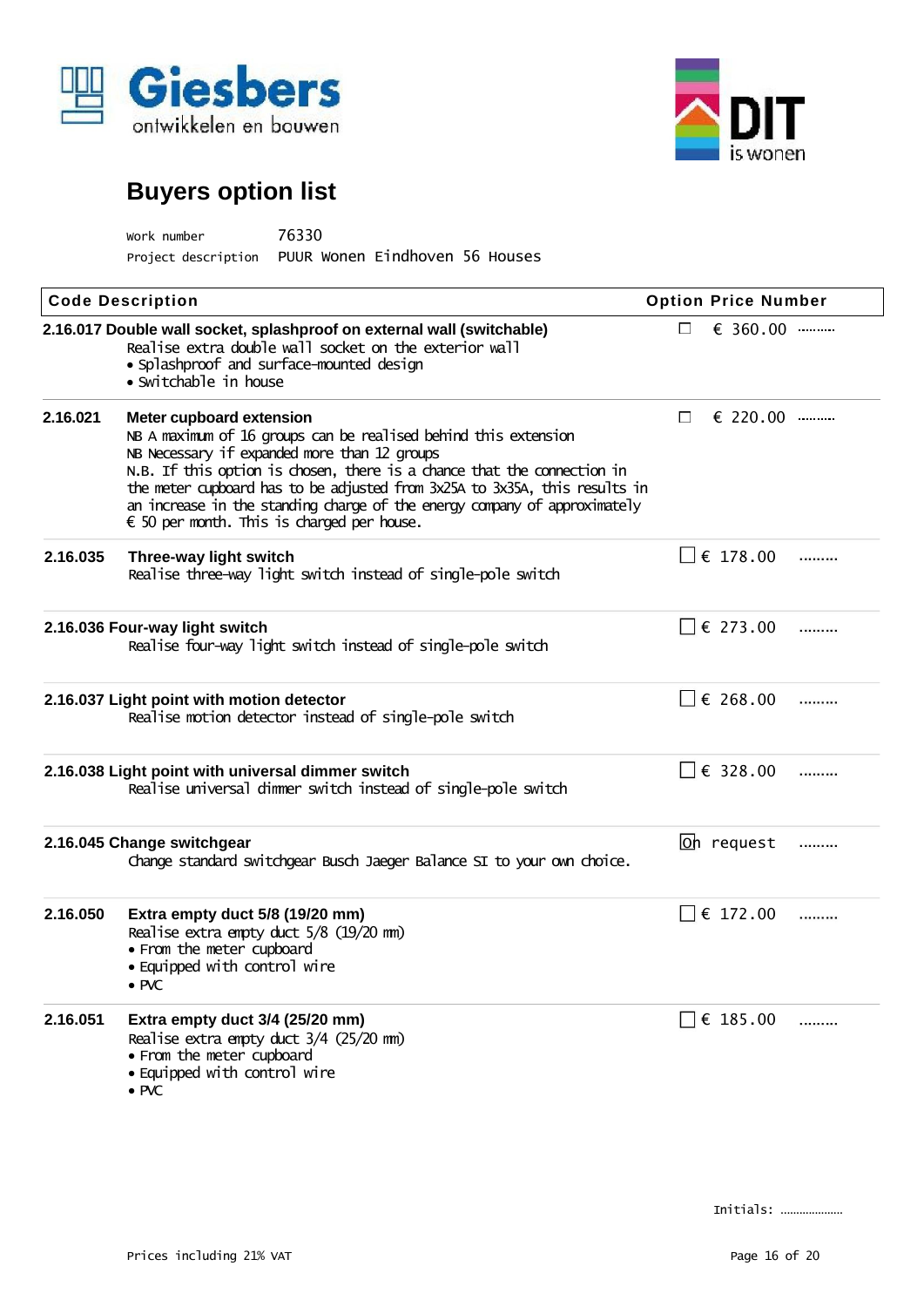



| work number         | 76330                          |  |
|---------------------|--------------------------------|--|
| Project description | PUUR Wonen Eindhoven 56 Houses |  |

|          | <b>Code Description</b>                                                                                                                                                                                                                                                                                                                                                                                                                  |        | <b>Option Price Number</b> |  |
|----------|------------------------------------------------------------------------------------------------------------------------------------------------------------------------------------------------------------------------------------------------------------------------------------------------------------------------------------------------------------------------------------------------------------------------------------------|--------|----------------------------|--|
|          | 2.16.017 Double wall socket, splashproof on external wall (switchable)<br>Realise extra double wall socket on the exterior wall<br>· Splashproof and surface-mounted design<br>• Switchable in house                                                                                                                                                                                                                                     | F      | $\epsilon$ 360.00          |  |
| 2.16.021 | Meter cupboard extension<br>NB A maximum of 16 groups can be realised behind this extension<br>NB Necessary if expanded more than 12 groups<br>N.B. If this option is chosen, there is a chance that the connection in<br>the meter cupboard has to be adjusted from 3x25A to 3x35A, this results in<br>an increase in the standing charge of the energy company of approximately<br>$\epsilon$ 50 per month. This is charged per house. | $\Box$ | $\epsilon$ 220.00          |  |
| 2.16.035 | Three-way light switch<br>Realise three-way light switch instead of single-pole switch                                                                                                                                                                                                                                                                                                                                                   |        | $\Box$ € 178.00            |  |
|          | 2.16.036 Four-way light switch<br>Realise four-way light switch instead of single-pole switch                                                                                                                                                                                                                                                                                                                                            |        | $\Box$ € 273.00            |  |
|          | 2.16.037 Light point with motion detector<br>Realise motion detector instead of single-pole switch                                                                                                                                                                                                                                                                                                                                       |        | € 268.00                   |  |
|          | 2.16.038 Light point with universal dimmer switch<br>Realise universal dimmer switch instead of single-pole switch                                                                                                                                                                                                                                                                                                                       |        | € 328.00                   |  |
|          | 2.16.045 Change switchgear<br>Change standard switchgear Busch Jaeger Balance SI to your own choice.                                                                                                                                                                                                                                                                                                                                     |        | <u>loh</u> request         |  |
| 2.16.050 | Extra empty duct 5/8 (19/20 mm)<br>Realise extra empty duct 5/8 (19/20 mm)<br>• From the meter cupboard<br>• Equipped with control wire<br>$\bullet$ PVC                                                                                                                                                                                                                                                                                 |        | € 172.00                   |  |
| 2.16.051 | Extra empty duct 3/4 (25/20 mm)<br>Realise extra empty duct 3/4 (25/20 mm)<br>• From the meter cupboard<br>• Equipped with control wire<br>$\bullet$ PVC                                                                                                                                                                                                                                                                                 |        | $\Box$ € 185.00            |  |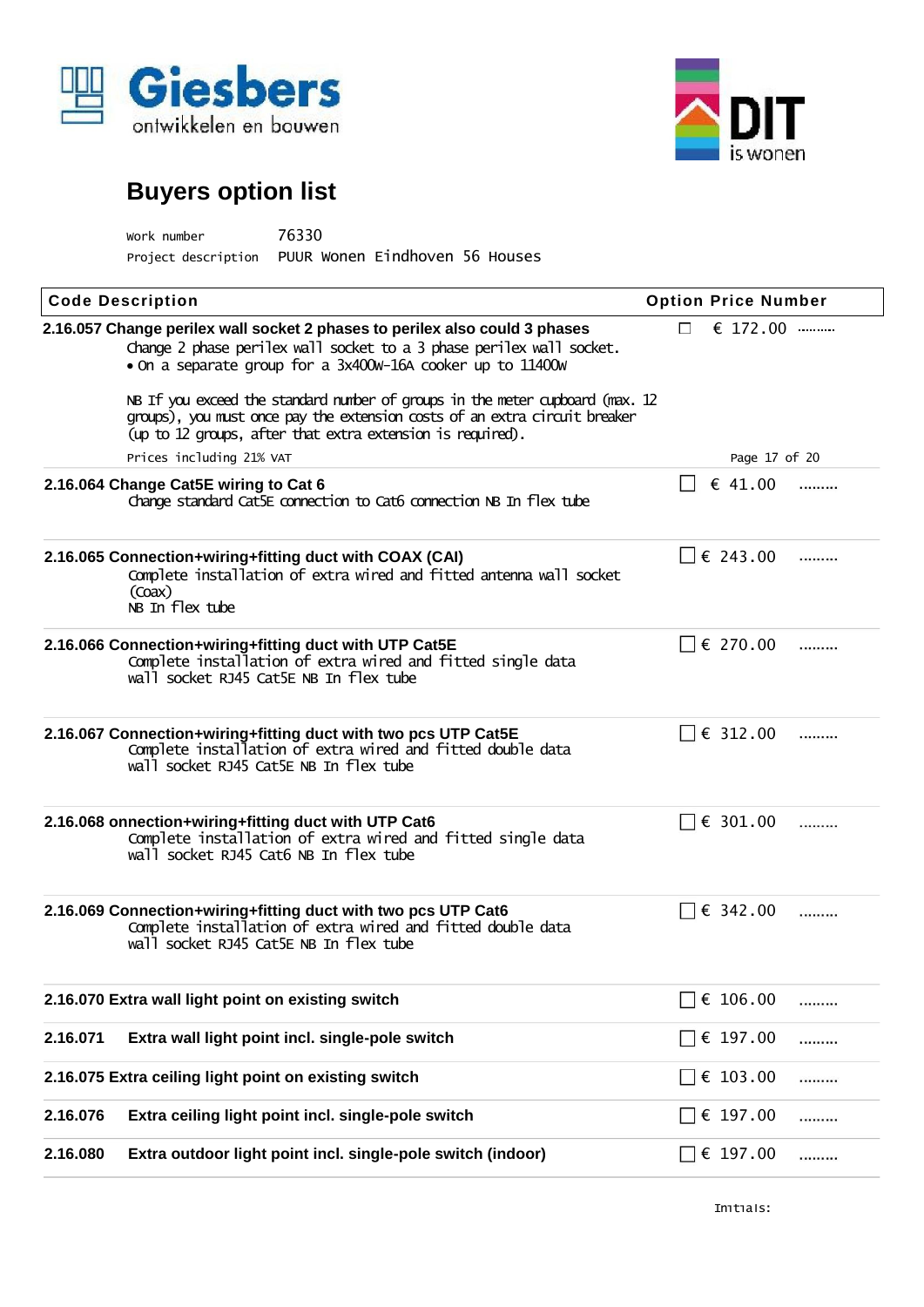



| work number         | 76330                          |  |  |
|---------------------|--------------------------------|--|--|
| Project description | PUUR Wonen Eindhoven 56 Houses |  |  |

| <b>Code Description</b>                                                                                                                                                                                                   | <b>Option Price Number</b> |
|---------------------------------------------------------------------------------------------------------------------------------------------------------------------------------------------------------------------------|----------------------------|
| 2.16.057 Change perilex wall socket 2 phases to perilex also could 3 phases<br>Change 2 phase perilex wall socket to a 3 phase perilex wall socket.<br>. On a separate group for a 3x400w-16A cooker up to 11400w         | € 172.00<br>$\Box$         |
| NB If you exceed the standard number of groups in the meter cupboard (max. 12<br>groups), you must once pay the extension costs of an extra circuit breaker<br>(up to 12 groups, after that extra extension is required). |                            |
| Prices including 21% VAT                                                                                                                                                                                                  | Page 17 of 20              |
| 2.16.064 Change Cat5E wiring to Cat 6<br>change standard Cat5E connection to Cat6 connection NB In flex tube                                                                                                              | € 41.00<br>                |
| 2.16.065 Connection+wiring+fitting duct with COAX (CAI)<br>Complete installation of extra wired and fitted antenna wall socket<br>$($ Coax $)$<br>NB In flex tube                                                         | $\Box \epsilon$ 243.00<br> |
| 2.16.066 Connection+wiring+fitting duct with UTP Cat5E<br>Complete installation of extra wired and fitted single data<br>wall socket RJ45 Cat5E NB In flex tube                                                           | € 270.00<br>               |
| 2.16.067 Connection+wiring+fitting duct with two pcs UTP Cat5E<br>Complete installation of extra wired and fitted double data<br>wall socket RJ45 Cat5E NB In flex tube                                                   | € 312.00<br>               |
| 2.16.068 onnection+wiring+fitting duct with UTP Cat6<br>Complete installation of extra wired and fitted single data<br>wall socket RJ45 Cat6 NB In flex tube                                                              | € 301.00<br>               |
| 2.16.069 Connection+wiring+fitting duct with two pcs UTP Cat6<br>Complete installation of extra wired and fitted double data<br>wall socket RJ45 Cat5E NB In flex tube                                                    | € 342.00<br>               |
| 2.16.070 Extra wall light point on existing switch                                                                                                                                                                        | € 106.00<br>               |
| 2.16.071<br>Extra wall light point incl. single-pole switch                                                                                                                                                               | € 197.00<br>.              |
| 2.16.075 Extra ceiling light point on existing switch                                                                                                                                                                     | € $103.00$<br>$\Box$<br>   |
| 2.16.076<br>Extra ceiling light point incl. single-pole switch                                                                                                                                                            | € 197.00<br>               |
| Extra outdoor light point incl. single-pole switch (indoor)<br>2.16.080                                                                                                                                                   | € 197.00<br>$\Box$<br>.    |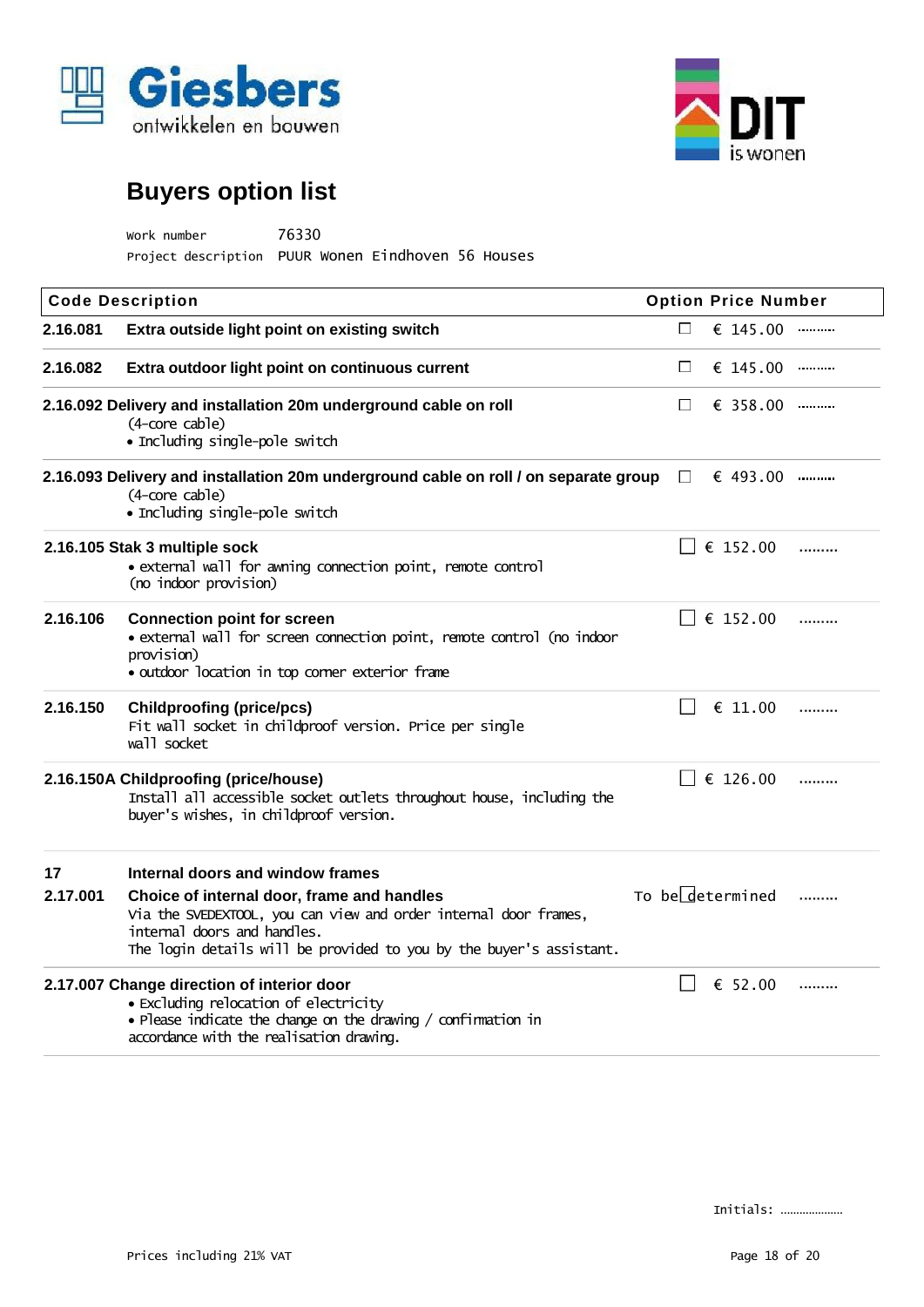



| Work number                                        | 76330 |  |  |
|----------------------------------------------------|-------|--|--|
| Project description PUUR Wonen Eindhoven 56 Houses |       |  |  |

|                | <b>Code Description</b>                                                                                                                                                                                                                                  |            | <b>Option Price Number</b> |   |
|----------------|----------------------------------------------------------------------------------------------------------------------------------------------------------------------------------------------------------------------------------------------------------|------------|----------------------------|---|
| 2.16.081       | Extra outside light point on existing switch                                                                                                                                                                                                             | <b>For</b> | $\epsilon$ 145.00          |   |
| 2.16.082       | Extra outdoor light point on continuous current                                                                                                                                                                                                          | N          | € 145.00                   |   |
|                | 2.16.092 Delivery and installation 20m underground cable on roll<br>(4-core cable)<br>• Including single-pole switch                                                                                                                                     |            | $\epsilon$ 358.00          |   |
|                | 2.16.093 Delivery and installation 20m underground cable on roll / on separate group<br>(4-core cable)<br>• Including single-pole switch                                                                                                                 | $\Box$     | € 493.00                   |   |
|                | 2.16.105 Stak 3 multiple sock<br>· external wall for awning connection point, remote control<br>(no indoor provision)                                                                                                                                    |            | € 152.00                   |   |
| 2.16.106       | <b>Connection point for screen</b><br>. external wall for screen connection point, remote control (no indoor<br>provision)<br>· outdoor location in top corner exterior frame                                                                            |            | € 152.00                   | . |
| 2.16.150       | <b>Childproofing (price/pcs)</b><br>Fit wall socket in childproof version. Price per single<br>wall socket                                                                                                                                               |            | € 11.00                    | . |
|                | 2.16.150A Childproofing (price/house)<br>Install all accessible socket outlets throughout house, including the<br>buyer's wishes, in childproof version.                                                                                                 |            | € 126.00                   |   |
| 17<br>2.17.001 | Internal doors and window frames<br>Choice of internal door, frame and handles<br>Via the SVEDEXTOOL, you can view and order internal door frames,<br>internal doors and handles.<br>The login details will be provided to you by the buyer's assistant. |            | To bedetermined            |   |
|                | 2.17.007 Change direction of interior door<br>• Excluding relocation of electricity<br>• Please indicate the change on the drawing / confirmation in<br>accordance with the realisation drawing.                                                         |            | € 52.00                    |   |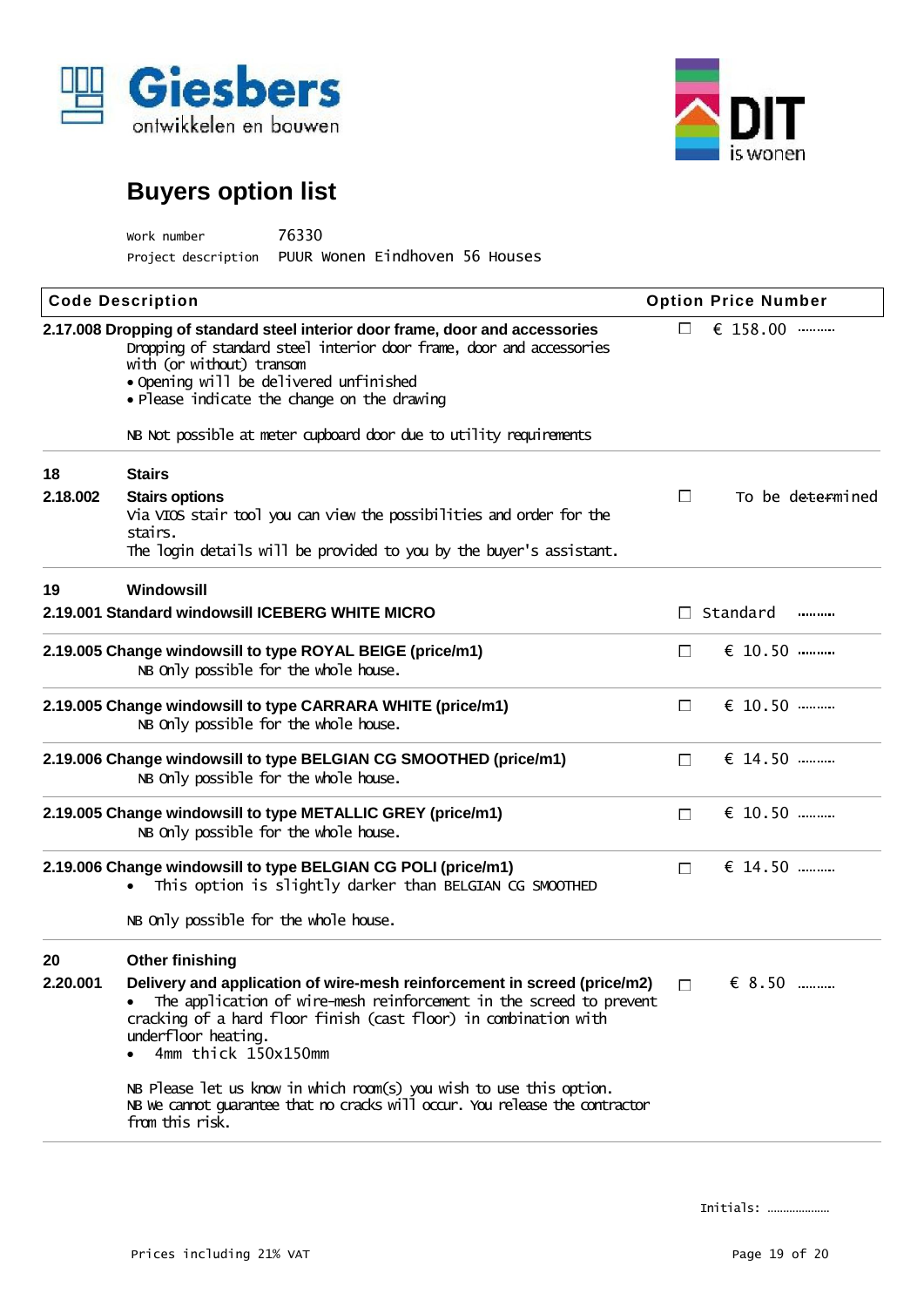



| work number         | 76330                          |
|---------------------|--------------------------------|
| Project description | PUUR Wonen Eindhoven 56 Houses |

|          | <b>Code Description</b>                                                                                                                                                                                                                                                             |                | <b>Option Price Number</b> |                  |
|----------|-------------------------------------------------------------------------------------------------------------------------------------------------------------------------------------------------------------------------------------------------------------------------------------|----------------|----------------------------|------------------|
|          | 2.17.008 Dropping of standard steel interior door frame, door and accessories<br>Dropping of standard steel interior door frame, door and accessories<br>with (or without) transom<br>• Opening will be delivered unfinished<br>· Please indicate the change on the drawing         |                | € 158.00                   |                  |
|          | NB Not possible at meter cupboard door due to utility requirements                                                                                                                                                                                                                  |                |                            |                  |
| 18       | <b>Stairs</b>                                                                                                                                                                                                                                                                       |                |                            |                  |
| 2.18.002 | <b>Stairs options</b><br>Via VIOS stair tool you can view the possibilities and order for the<br>stairs.                                                                                                                                                                            | $\Box$         |                            | To be determined |
|          | The login details will be provided to you by the buyer's assistant.                                                                                                                                                                                                                 |                |                            |                  |
| 19       | Windowsill                                                                                                                                                                                                                                                                          |                |                            |                  |
|          | 2.19.001 Standard windowsill ICEBERG WHITE MICRO                                                                                                                                                                                                                                    | $\mathbb{R}^n$ | Standard                   |                  |
|          | 2.19.005 Change windowsill to type ROYAL BEIGE (price/m1)<br>NB Only possible for the whole house.                                                                                                                                                                                  | $\Box$         | € 10.50                    |                  |
|          | 2.19.005 Change windowsill to type CARRARA WHITE (price/m1)<br>NB Only possible for the whole house.                                                                                                                                                                                | $\Box$         | € 10.50                    |                  |
|          | 2.19.006 Change windowsill to type BELGIAN CG SMOOTHED (price/m1)<br>NB Only possible for the whole house.                                                                                                                                                                          | $\mathbb{R}^n$ | € 14.50                    |                  |
|          | 2.19.005 Change windowsill to type METALLIC GREY (price/m1)<br>NB Only possible for the whole house.                                                                                                                                                                                | $\Box$         | € 10.50                    |                  |
|          | 2.19.006 Change windowsill to type BELGIAN CG POLI (price/m1)<br>This option is slightly darker than BELGIAN CG SMOOTHED                                                                                                                                                            | $\Box$         | € 14.50                    |                  |
|          | NB Only possible for the whole house.                                                                                                                                                                                                                                               |                |                            |                  |
| 20       | <b>Other finishing</b>                                                                                                                                                                                                                                                              |                |                            |                  |
| 2 20 001 | Delivery and application of wire-mesh reinforcement in screed (price/m2) $\Box$ $\in$ 8.50<br>The application of wire-mesh reinforcement in the screed to prevent<br>cracking of a hard floor finish (cast floor) in combination with<br>underfloor heating.<br>4mm thick 150x150mm |                |                            |                  |
|          | NB Please let us know in which room(s) you wish to use this option.<br>NB we cannot guarantee that no cracks will occur. You release the contractor<br>from this risk.                                                                                                              |                |                            |                  |